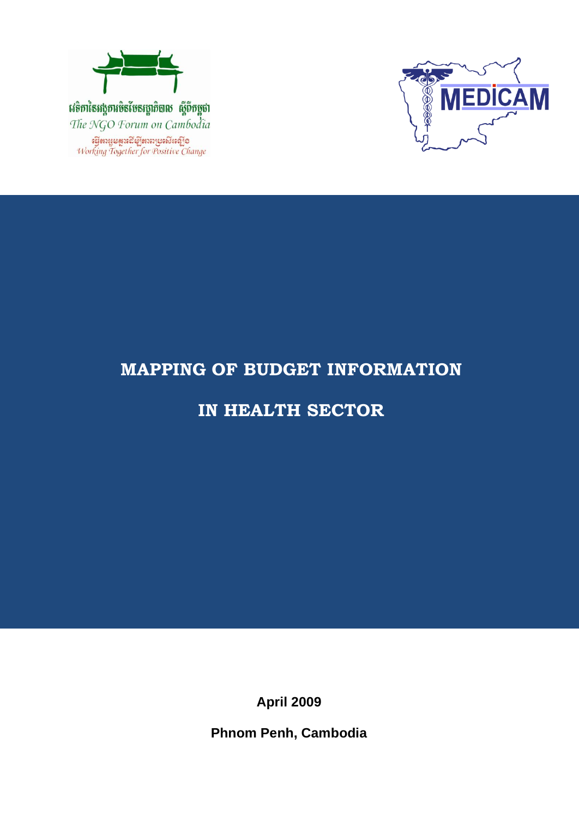



# **MAPPING OF BUDGET INFORMATION**

## **IN HEALTH SECTOR**

**April 2009**

**Phnom Penh, Cambodia**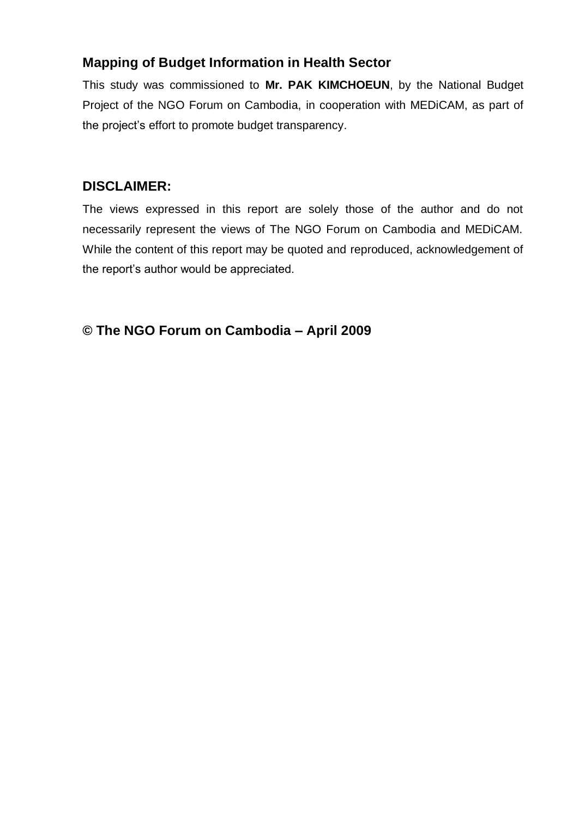## **Mapping of Budget Information in Health Sector**

This study was commissioned to **Mr. PAK KIMCHOEUN**, by the National Budget Project of the NGO Forum on Cambodia, in cooperation with MEDiCAM, as part of the project's effort to promote budget transparency.

## **DISCLAIMER:**

The views expressed in this report are solely those of the author and do not necessarily represent the views of The NGO Forum on Cambodia and MEDiCAM. While the content of this report may be quoted and reproduced, acknowledgement of the report's author would be appreciated.

**© The NGO Forum on Cambodia – April 2009**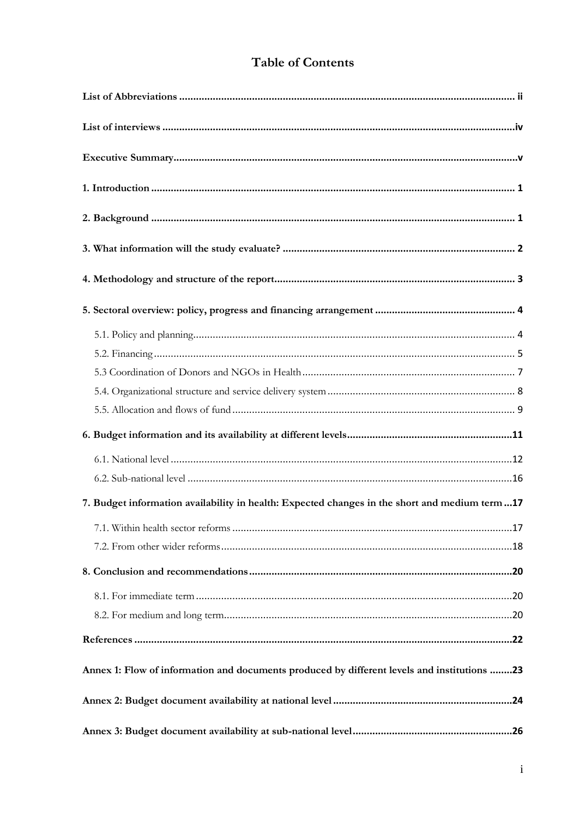## **Table of Contents**

| 7. Budget information availability in health: Expected changes in the short and medium term17 |
|-----------------------------------------------------------------------------------------------|
|                                                                                               |
|                                                                                               |
|                                                                                               |
|                                                                                               |
|                                                                                               |
|                                                                                               |
| Annex 1: Flow of information and documents produced by different levels and institutions 23   |
|                                                                                               |
|                                                                                               |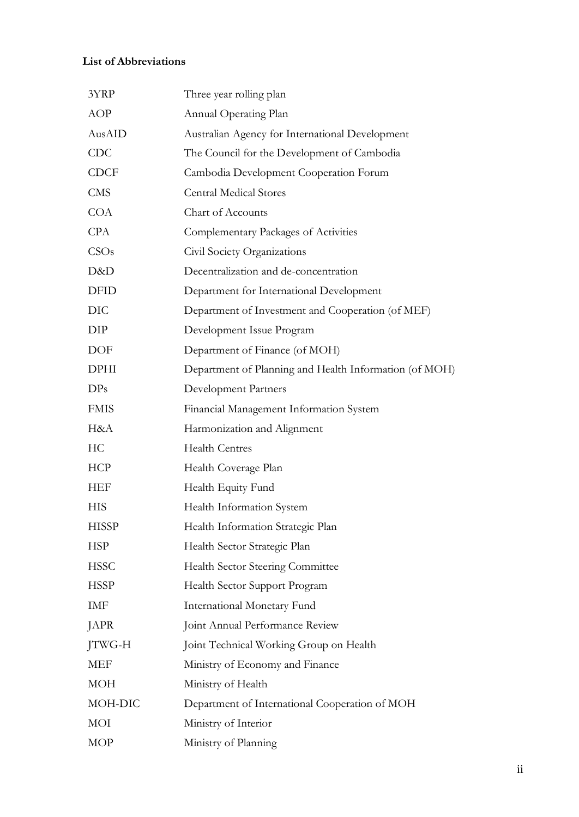### <span id="page-3-0"></span>**List of Abbreviations**

| 3YRP         | Three year rolling plan                                |
|--------------|--------------------------------------------------------|
| AOP          | Annual Operating Plan                                  |
| AusAID       | Australian Agency for International Development        |
| <b>CDC</b>   | The Council for the Development of Cambodia            |
| <b>CDCF</b>  | Cambodia Development Cooperation Forum                 |
| <b>CMS</b>   | <b>Central Medical Stores</b>                          |
| <b>COA</b>   | Chart of Accounts                                      |
| <b>CPA</b>   | Complementary Packages of Activities                   |
| CSOs         | Civil Society Organizations                            |
| D&D          | Decentralization and de-concentration                  |
| <b>DFID</b>  | Department for International Development               |
| <b>DIC</b>   | Department of Investment and Cooperation (of MEF)      |
| DIP          | Development Issue Program                              |
| DOF          | Department of Finance (of MOH)                         |
| <b>DPHI</b>  | Department of Planning and Health Information (of MOH) |
| DPs          | Development Partners                                   |
| <b>FMIS</b>  | Financial Management Information System                |
| H&A          | Harmonization and Alignment                            |
| HC           | <b>Health Centres</b>                                  |
| <b>HCP</b>   | Health Coverage Plan                                   |
| HEF          | Health Equity Fund                                     |
| <b>HIS</b>   | Health Information System                              |
| <b>HISSP</b> | Health Information Strategic Plan                      |
| <b>HSP</b>   | Health Sector Strategic Plan                           |
| <b>HSSC</b>  | Health Sector Steering Committee                       |
| <b>HSSP</b>  | Health Sector Support Program                          |
| IMF          | International Monetary Fund                            |
| JAPR         | Joint Annual Performance Review                        |
| JTWG-H       | Joint Technical Working Group on Health                |
| MEF          | Ministry of Economy and Finance                        |
| <b>MOH</b>   | Ministry of Health                                     |
| MOH-DIC      | Department of International Cooperation of MOH         |
| MOI          | Ministry of Interior                                   |
| MOP          | Ministry of Planning                                   |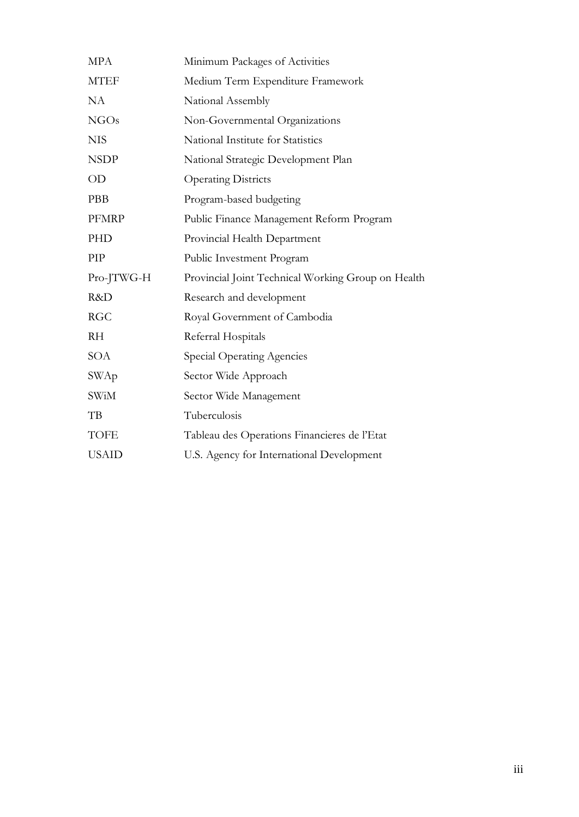| <b>MPA</b>   | Minimum Packages of Activities                     |
|--------------|----------------------------------------------------|
| <b>MTEF</b>  | Medium Term Expenditure Framework                  |
| <b>NA</b>    | National Assembly                                  |
| NGOs         | Non-Governmental Organizations                     |
| <b>NIS</b>   | National Institute for Statistics                  |
| <b>NSDP</b>  | National Strategic Development Plan                |
| OD           | <b>Operating Districts</b>                         |
| PBB          | Program-based budgeting                            |
| <b>PFMRP</b> | Public Finance Management Reform Program           |
| PHD          | Provincial Health Department                       |
| PIP          | Public Investment Program                          |
| Pro-JTWG-H   | Provincial Joint Technical Working Group on Health |
| R&D          | Research and development                           |
| <b>RGC</b>   | Royal Government of Cambodia                       |
| <b>RH</b>    | Referral Hospitals                                 |
| SOA          | Special Operating Agencies                         |
| SWAp         | Sector Wide Approach                               |
| <b>SWiM</b>  | Sector Wide Management                             |
| TB           | Tuberculosis                                       |
| <b>TOFE</b>  | Tableau des Operations Financieres de l'Etat       |
| <b>USAID</b> | U.S. Agency for International Development          |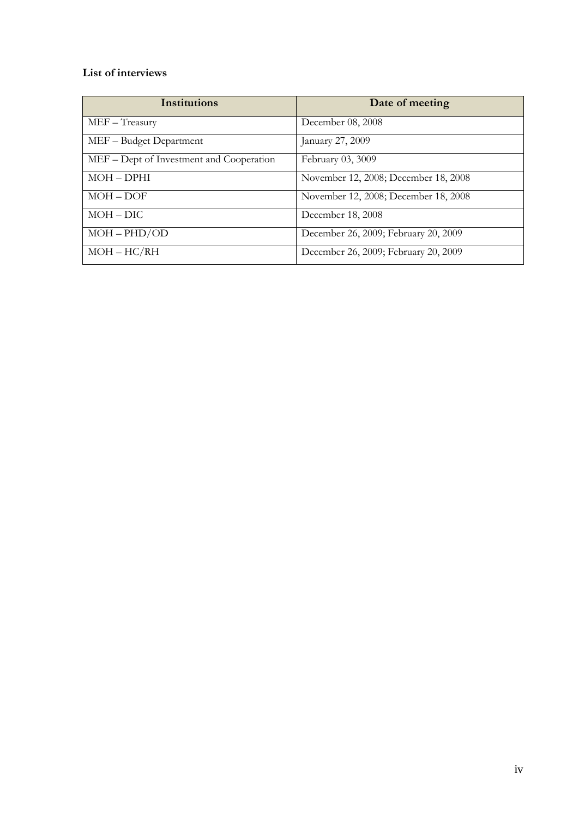### <span id="page-5-0"></span>**List of interviews**

| <b>Institutions</b>                      | Date of meeting                      |
|------------------------------------------|--------------------------------------|
| $MEF - Treasury$                         | December 08, 2008                    |
| MEF - Budget Department                  | January 27, 2009                     |
| MEF – Dept of Investment and Cooperation | February 03, 3009                    |
| $MOH-DPHI$                               | November 12, 2008; December 18, 2008 |
| $MOH - DOF$                              | November 12, 2008; December 18, 2008 |
| $MOH-DIC$                                | December 18, 2008                    |
| $MOH - PHD/OD$                           | December 26, 2009; February 20, 2009 |
| $MOH-HC/RH$                              | December 26, 2009; February 20, 2009 |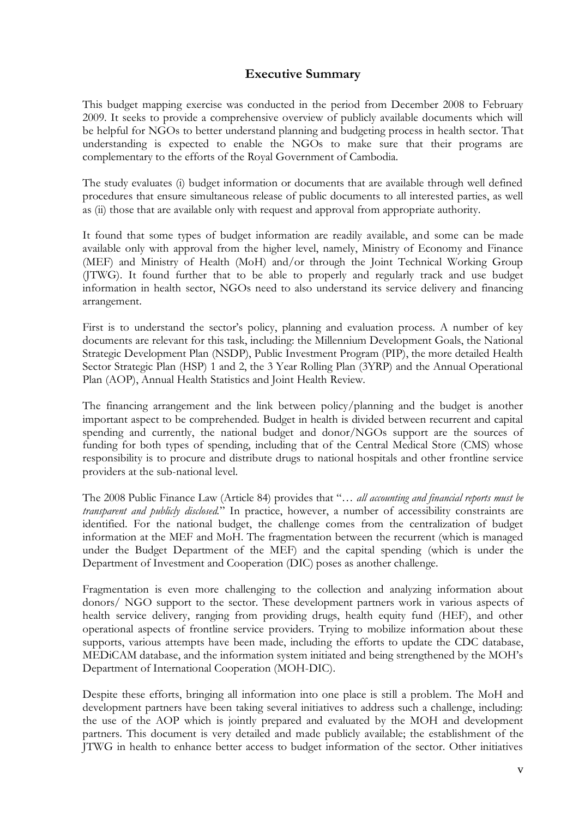#### **Executive Summary**

<span id="page-6-0"></span>This budget mapping exercise was conducted in the period from December 2008 to February 2009. It seeks to provide a comprehensive overview of publicly available documents which will be helpful for NGOs to better understand planning and budgeting process in health sector. That understanding is expected to enable the NGOs to make sure that their programs are complementary to the efforts of the Royal Government of Cambodia.

The study evaluates (i) budget information or documents that are available through well defined procedures that ensure simultaneous release of public documents to all interested parties, as well as (ii) those that are available only with request and approval from appropriate authority.

It found that some types of budget information are readily available, and some can be made available only with approval from the higher level, namely, Ministry of Economy and Finance (MEF) and Ministry of Health (MoH) and/or through the Joint Technical Working Group (JTWG). It found further that to be able to properly and regularly track and use budget information in health sector, NGOs need to also understand its service delivery and financing arrangement.

First is to understand the sector's policy, planning and evaluation process. A number of key documents are relevant for this task, including: the Millennium Development Goals, the National Strategic Development Plan (NSDP), Public Investment Program (PIP), the more detailed Health Sector Strategic Plan (HSP) 1 and 2, the 3 Year Rolling Plan (3YRP) and the Annual Operational Plan (AOP), Annual Health Statistics and Joint Health Review.

The financing arrangement and the link between policy/planning and the budget is another important aspect to be comprehended. Budget in health is divided between recurrent and capital spending and currently, the national budget and donor/NGOs support are the sources of funding for both types of spending, including that of the Central Medical Store (CMS) whose responsibility is to procure and distribute drugs to national hospitals and other frontline service providers at the sub-national level.

The 2008 Public Finance Law (Article 84) provides that "… *all accounting and financial reports must be transparent and publicly disclosed.*" In practice, however, a number of accessibility constraints are identified. For the national budget, the challenge comes from the centralization of budget information at the MEF and MoH. The fragmentation between the recurrent (which is managed under the Budget Department of the MEF) and the capital spending (which is under the Department of Investment and Cooperation (DIC) poses as another challenge.

Fragmentation is even more challenging to the collection and analyzing information about donors/ NGO support to the sector. These development partners work in various aspects of health service delivery, ranging from providing drugs, health equity fund (HEF), and other operational aspects of frontline service providers. Trying to mobilize information about these supports, various attempts have been made, including the efforts to update the CDC database, MEDiCAM database, and the information system initiated and being strengthened by the MOH"s Department of International Cooperation (MOH-DIC).

Despite these efforts, bringing all information into one place is still a problem. The MoH and development partners have been taking several initiatives to address such a challenge, including: the use of the AOP which is jointly prepared and evaluated by the MOH and development partners. This document is very detailed and made publicly available; the establishment of the JTWG in health to enhance better access to budget information of the sector. Other initiatives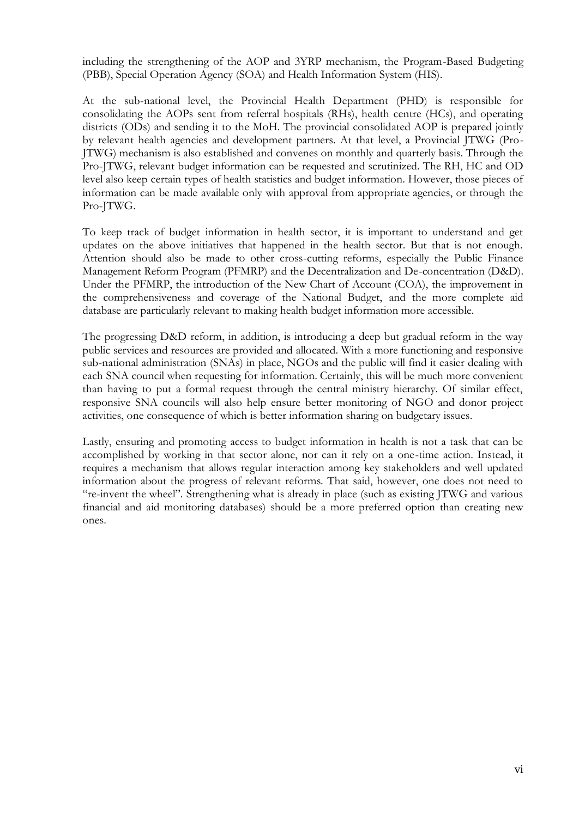including the strengthening of the AOP and 3YRP mechanism, the Program-Based Budgeting (PBB), Special Operation Agency (SOA) and Health Information System (HIS).

At the sub-national level, the Provincial Health Department (PHD) is responsible for consolidating the AOPs sent from referral hospitals (RHs), health centre (HCs), and operating districts (ODs) and sending it to the MoH. The provincial consolidated AOP is prepared jointly by relevant health agencies and development partners. At that level, a Provincial JTWG (Pro-JTWG) mechanism is also established and convenes on monthly and quarterly basis. Through the Pro-JTWG, relevant budget information can be requested and scrutinized. The RH, HC and OD level also keep certain types of health statistics and budget information. However, those pieces of information can be made available only with approval from appropriate agencies, or through the Pro-JTWG.

To keep track of budget information in health sector, it is important to understand and get updates on the above initiatives that happened in the health sector. But that is not enough. Attention should also be made to other cross-cutting reforms, especially the Public Finance Management Reform Program (PFMRP) and the Decentralization and De-concentration (D&D). Under the PFMRP, the introduction of the New Chart of Account (COA), the improvement in the comprehensiveness and coverage of the National Budget, and the more complete aid database are particularly relevant to making health budget information more accessible.

The progressing D&D reform, in addition, is introducing a deep but gradual reform in the way public services and resources are provided and allocated. With a more functioning and responsive sub-national administration (SNAs) in place, NGOs and the public will find it easier dealing with each SNA council when requesting for information. Certainly, this will be much more convenient than having to put a formal request through the central ministry hierarchy. Of similar effect, responsive SNA councils will also help ensure better monitoring of NGO and donor project activities, one consequence of which is better information sharing on budgetary issues.

Lastly, ensuring and promoting access to budget information in health is not a task that can be accomplished by working in that sector alone, nor can it rely on a one-time action. Instead, it requires a mechanism that allows regular interaction among key stakeholders and well updated information about the progress of relevant reforms. That said, however, one does not need to "re-invent the wheel". Strengthening what is already in place (such as existing JTWG and various financial and aid monitoring databases) should be a more preferred option than creating new ones.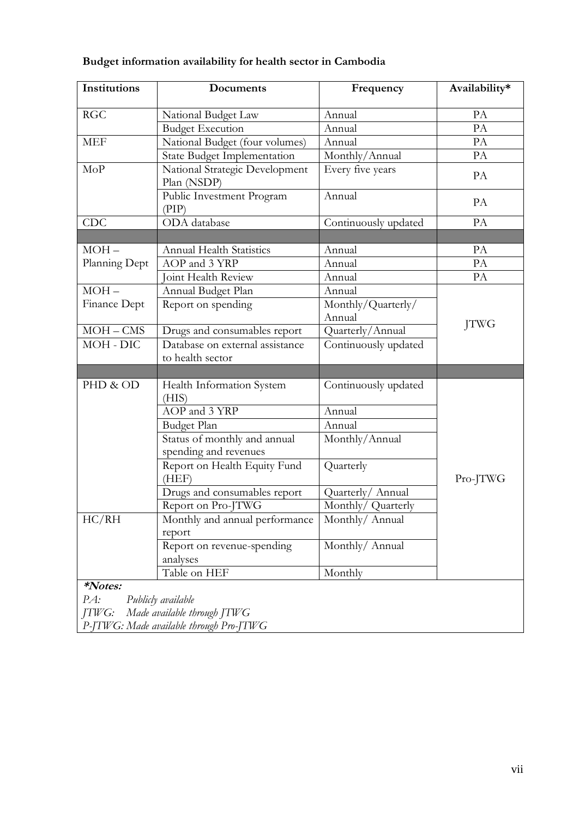|  | Budget information availability for health sector in Cambodia |
|--|---------------------------------------------------------------|
|  |                                                               |

| Institutions            | Documents                                                                                    | Frequency                    | Availability* |
|-------------------------|----------------------------------------------------------------------------------------------|------------------------------|---------------|
| <b>RGC</b>              | National Budget Law                                                                          | Annual                       | PA            |
|                         | <b>Budget Execution</b>                                                                      | Annual                       | PA            |
| <b>MEF</b>              | National Budget (four volumes)                                                               | Annual                       | PA            |
|                         | <b>State Budget Implementation</b>                                                           | Monthly/Annual               | PA            |
| MoP                     | National Strategic Development<br>Plan (NSDP)                                                | Every five years             | PA            |
|                         | Public Investment Program<br>(PIP)                                                           | Annual                       | PA            |
| CDC                     | ODA database                                                                                 | Continuously updated         | PA            |
|                         |                                                                                              |                              |               |
| $MOH -$                 | <b>Annual Health Statistics</b>                                                              | Annual                       | PA            |
| Planning Dept           | AOP and 3 YRP                                                                                | Annual                       | PA            |
|                         | Joint Health Review                                                                          | Annual                       | PA            |
| $MOH-$                  | Annual Budget Plan                                                                           | Annual                       |               |
| Finance Dept            | Report on spending                                                                           | Monthly/Quarterly/<br>Annual | <b>JTWG</b>   |
| $MOH - CMS$             | Drugs and consumables report                                                                 | Quarterly/Annual             |               |
| MOH - DIC               | Database on external assistance<br>to health sector                                          | Continuously updated         |               |
|                         |                                                                                              |                              |               |
| PHD & OD                | Health Information System<br>(HIS)                                                           | Continuously updated         |               |
|                         | AOP and 3 YRP                                                                                | Annual                       |               |
|                         | <b>Budget Plan</b>                                                                           | Annual                       |               |
|                         | Status of monthly and annual<br>spending and revenues                                        | Monthly/Annual               |               |
|                         | Report on Health Equity Fund<br>(HEF)                                                        | Quarterly                    | Pro-JTWG      |
|                         | Drugs and consumables report                                                                 | Quarterly/ Annual            |               |
|                         | Report on Pro-JTWG                                                                           | Monthly/ Quarterly           |               |
| HC/RH                   | Monthly and annual performance<br>report                                                     | Monthly/ Annual              |               |
|                         | Report on revenue-spending<br>analyses                                                       | Monthly/Annual               |               |
|                         | Table on HEF                                                                                 | Monthly                      |               |
| *Notes:<br>PA:<br>JTWG: | Publicly available<br>Made available through JTWG<br>P-JTWG: Made available through Pro-JTWG |                              |               |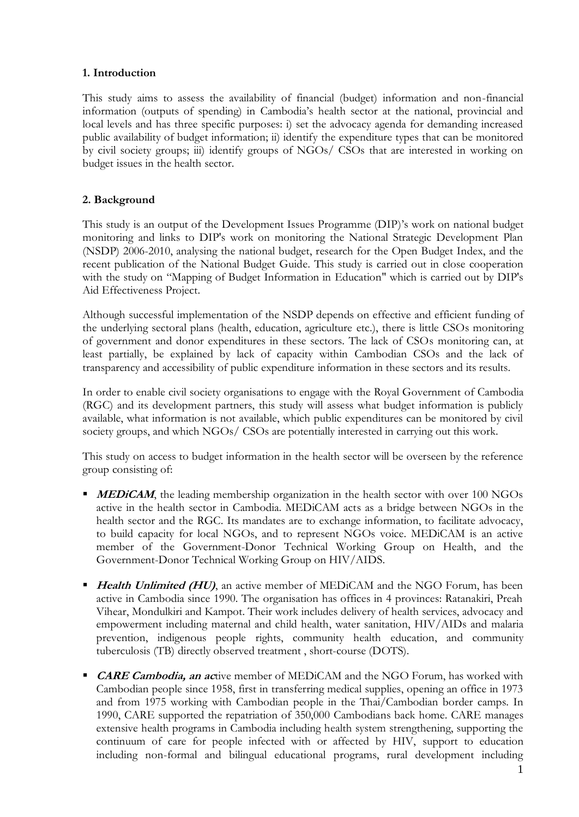#### <span id="page-9-0"></span>**1. Introduction**

This study aims to assess the availability of financial (budget) information and non-financial information (outputs of spending) in Cambodia"s health sector at the national, provincial and local levels and has three specific purposes: i) set the advocacy agenda for demanding increased public availability of budget information; ii) identify the expenditure types that can be monitored by civil society groups; iii) identify groups of NGOs/ CSOs that are interested in working on budget issues in the health sector.

#### <span id="page-9-1"></span>**2. Background**

This study is an output of the Development Issues Programme (DIP)'s work on national budget monitoring and links to DIP's work on monitoring the National Strategic Development Plan (NSDP) 2006-2010, analysing the national budget, research for the Open Budget Index, and the recent publication of the National Budget Guide. This study is carried out in close cooperation with the study on "Mapping of Budget Information in Education" which is carried out by DIP's Aid Effectiveness Project.

Although successful implementation of the NSDP depends on effective and efficient funding of the underlying sectoral plans (health, education, agriculture etc.), there is little CSOs monitoring of government and donor expenditures in these sectors. The lack of CSOs monitoring can, at least partially, be explained by lack of capacity within Cambodian CSOs and the lack of transparency and accessibility of public expenditure information in these sectors and its results.

In order to enable civil society organisations to engage with the Royal Government of Cambodia (RGC) and its development partners, this study will assess what budget information is publicly available, what information is not available, which public expenditures can be monitored by civil society groups, and which NGOs/ CSOs are potentially interested in carrying out this work.

This study on access to budget information in the health sector will be overseen by the reference group consisting of:

- **MEDICAM**, the leading membership organization in the health sector with over 100 NGOs active in the health sector in Cambodia. MEDiCAM acts as a bridge between NGOs in the health sector and the RGC. Its mandates are to exchange information, to facilitate advocacy, to build capacity for local NGOs, and to represent NGOs voice. MEDiCAM is an active member of the Government-Donor Technical Working Group on Health, and the Government-Donor Technical Working Group on HIV/AIDS.
- **Health Unlimited (HU)**, an active member of MEDICAM and the NGO Forum, has been active in Cambodia since 1990. The organisation has offices in 4 provinces: Ratanakiri, Preah Vihear, Mondulkiri and Kampot. Their work includes delivery of health services, advocacy and empowerment including maternal and child health, water sanitation, HIV/AIDs and malaria prevention, indigenous people rights, community health education, and community tuberculosis (TB) directly observed treatment , short-course (DOTS).
- **CARE Cambodia, an ac**tive member of MEDiCAM and the NGO Forum, has worked with Cambodian people since 1958, first in transferring medical supplies, opening an office in 1973 and from 1975 working with Cambodian people in the Thai/Cambodian border camps. In 1990, CARE supported the repatriation of 350,000 Cambodians back home. CARE manages extensive health programs in Cambodia including health system strengthening, supporting the continuum of care for people infected with or affected by HIV, support to education including non-formal and bilingual educational programs, rural development including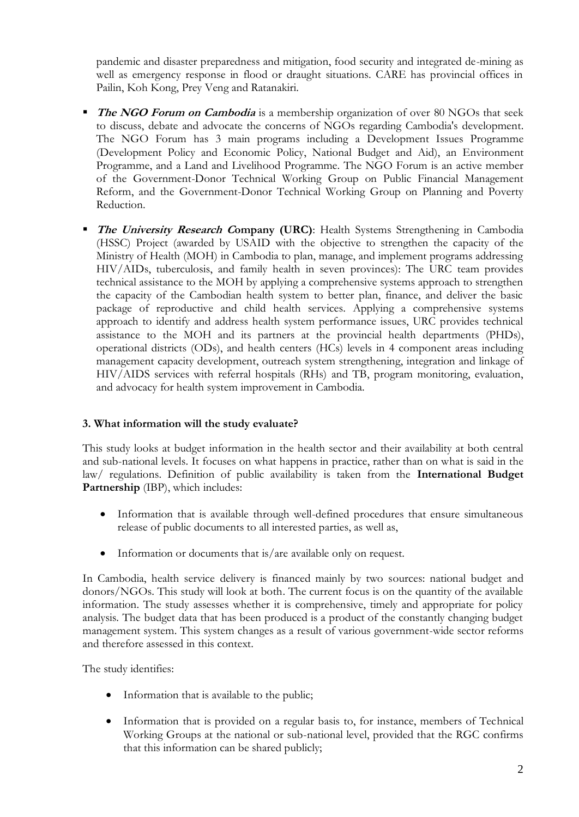pandemic and disaster preparedness and mitigation, food security and integrated de-mining as well as emergency response in flood or draught situations. CARE has provincial offices in Pailin, Koh Kong, Prey Veng and Ratanakiri.

- **The NGO Forum on Cambodia** is a membership organization of over 80 NGOs that seek to discuss, debate and advocate the concerns of NGOs regarding Cambodia's development. The NGO Forum has 3 main programs including a Development Issues Programme (Development Policy and Economic Policy, National Budget and Aid), an Environment Programme, and a Land and Livelihood Programme. The NGO Forum is an active member of the Government-Donor Technical Working Group on Public Financial Management Reform, and the Government-Donor Technical Working Group on Planning and Poverty Reduction.
- **The University Research Company (URC):** Health Systems Strengthening in Cambodia (HSSC) Project (awarded by USAID with the objective to strengthen the capacity of the Ministry of Health (MOH) in Cambodia to plan, manage, and implement programs addressing HIV/AIDs, tuberculosis, and family health in seven provinces): The URC team provides technical assistance to the MOH by applying a comprehensive systems approach to strengthen the capacity of the Cambodian health system to better plan, finance, and deliver the basic package of reproductive and child health services. Applying a comprehensive systems approach to identify and address health system performance issues, URC provides technical assistance to the MOH and its partners at the provincial health departments (PHDs), operational districts (ODs), and health centers (HCs) levels in 4 component areas including management capacity development, outreach system strengthening, integration and linkage of HIV/AIDS services with referral hospitals (RHs) and TB, program monitoring, evaluation, and advocacy for health system improvement in Cambodia.

#### <span id="page-10-0"></span>**3. What information will the study evaluate?**

This study looks at budget information in the health sector and their availability at both central and sub-national levels. It focuses on what happens in practice, rather than on what is said in the law/ regulations. Definition of public availability is taken from the **International Budget Partnership** (IBP), which includes:

- Information that is available through well-defined procedures that ensure simultaneous release of public documents to all interested parties, as well as,
- Information or documents that is/are available only on request.

In Cambodia, health service delivery is financed mainly by two sources: national budget and donors/NGOs. This study will look at both. The current focus is on the quantity of the available information. The study assesses whether it is comprehensive, timely and appropriate for policy analysis. The budget data that has been produced is a product of the constantly changing budget management system. This system changes as a result of various government-wide sector reforms and therefore assessed in this context.

The study identifies:

- Information that is available to the public;
- Information that is provided on a regular basis to, for instance, members of Technical Working Groups at the national or sub-national level, provided that the RGC confirms that this information can be shared publicly;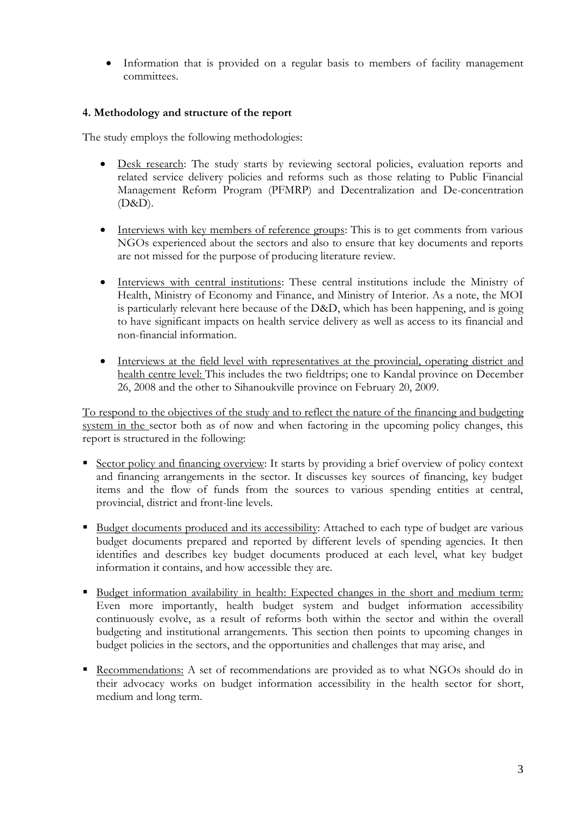• Information that is provided on a regular basis to members of facility management committees.

#### <span id="page-11-0"></span>**4. Methodology and structure of the report**

The study employs the following methodologies:

- Desk research: The study starts by reviewing sectoral policies, evaluation reports and related service delivery policies and reforms such as those relating to Public Financial Management Reform Program (PFMRP) and Decentralization and De-concentration (D&D).
- Interviews with key members of reference groups: This is to get comments from various NGOs experienced about the sectors and also to ensure that key documents and reports are not missed for the purpose of producing literature review.
- Interviews with central institutions: These central institutions include the Ministry of Health, Ministry of Economy and Finance, and Ministry of Interior. As a note, the MOI is particularly relevant here because of the D&D, which has been happening, and is going to have significant impacts on health service delivery as well as access to its financial and non-financial information.
- Interviews at the field level with representatives at the provincial, operating district and health centre level: This includes the two fieldtrips; one to Kandal province on December 26, 2008 and the other to Sihanoukville province on February 20, 2009.

To respond to the objectives of the study and to reflect the nature of the financing and budgeting system in the sector both as of now and when factoring in the upcoming policy changes, this report is structured in the following:

- Sector policy and financing overview: It starts by providing a brief overview of policy context and financing arrangements in the sector. It discusses key sources of financing, key budget items and the flow of funds from the sources to various spending entities at central, provincial, district and front-line levels.
- Budget documents produced and its accessibility: Attached to each type of budget are various budget documents prepared and reported by different levels of spending agencies. It then identifies and describes key budget documents produced at each level, what key budget information it contains, and how accessible they are.
- Budget information availability in health: Expected changes in the short and medium term: Even more importantly, health budget system and budget information accessibility continuously evolve, as a result of reforms both within the sector and within the overall budgeting and institutional arrangements. This section then points to upcoming changes in budget policies in the sectors, and the opportunities and challenges that may arise, and
- Recommendations: A set of recommendations are provided as to what NGOs should do in their advocacy works on budget information accessibility in the health sector for short, medium and long term.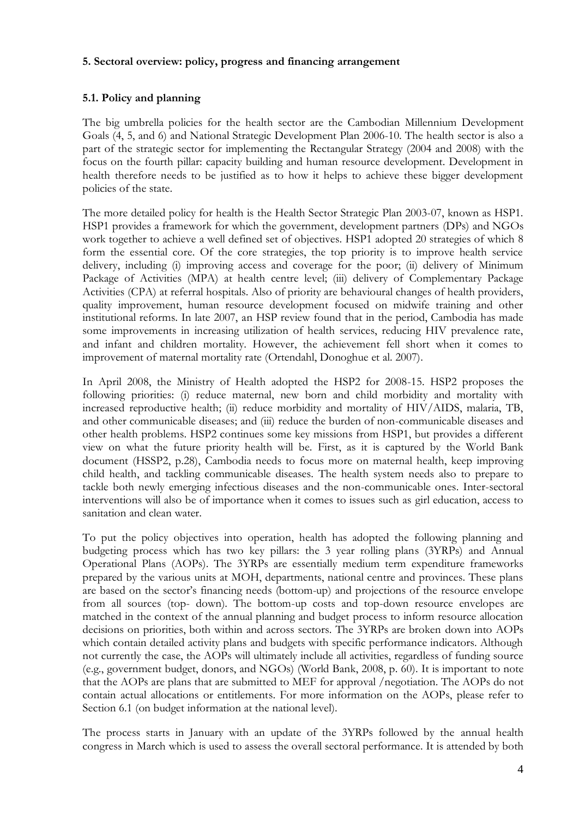#### <span id="page-12-0"></span>**5. Sectoral overview: policy, progress and financing arrangement**

#### <span id="page-12-1"></span>**5.1. Policy and planning**

The big umbrella policies for the health sector are the Cambodian Millennium Development Goals (4, 5, and 6) and National Strategic Development Plan 2006-10. The health sector is also a part of the strategic sector for implementing the Rectangular Strategy (2004 and 2008) with the focus on the fourth pillar: capacity building and human resource development. Development in health therefore needs to be justified as to how it helps to achieve these bigger development policies of the state.

The more detailed policy for health is the Health Sector Strategic Plan 2003-07, known as HSP1. HSP1 provides a framework for which the government, development partners (DPs) and NGOs work together to achieve a well defined set of objectives. HSP1 adopted 20 strategies of which 8 form the essential core. Of the core strategies, the top priority is to improve health service delivery, including (i) improving access and coverage for the poor; (ii) delivery of Minimum Package of Activities (MPA) at health centre level; (iii) delivery of Complementary Package Activities (CPA) at referral hospitals. Also of priority are behavioural changes of health providers, quality improvement, human resource development focused on midwife training and other institutional reforms. In late 2007, an HSP review found that in the period, Cambodia has made some improvements in increasing utilization of health services, reducing HIV prevalence rate, and infant and children mortality. However, the achievement fell short when it comes to improvement of maternal mortality rate (Ortendahl, Donoghue et al. 2007).

In April 2008, the Ministry of Health adopted the HSP2 for 2008-15. HSP2 proposes the following priorities: (i) reduce maternal, new born and child morbidity and mortality with increased reproductive health; (ii) reduce morbidity and mortality of HIV/AIDS, malaria, TB, and other communicable diseases; and (iii) reduce the burden of non-communicable diseases and other health problems. HSP2 continues some key missions from HSP1, but provides a different view on what the future priority health will be. First, as it is captured by the World Bank document (HSSP2, p.28), Cambodia needs to focus more on maternal health, keep improving child health, and tackling communicable diseases. The health system needs also to prepare to tackle both newly emerging infectious diseases and the non-communicable ones. Inter-sectoral interventions will also be of importance when it comes to issues such as girl education, access to sanitation and clean water.

To put the policy objectives into operation, health has adopted the following planning and budgeting process which has two key pillars: the 3 year rolling plans (3YRPs) and Annual Operational Plans (AOPs). The 3YRPs are essentially medium term expenditure frameworks prepared by the various units at MOH, departments, national centre and provinces. These plans are based on the sector's financing needs (bottom-up) and projections of the resource envelope from all sources (top- down). The bottom-up costs and top-down resource envelopes are matched in the context of the annual planning and budget process to inform resource allocation decisions on priorities, both within and across sectors. The 3YRPs are broken down into AOPs which contain detailed activity plans and budgets with specific performance indicators. Although not currently the case, the AOPs will ultimately include all activities, regardless of funding source (e.g., government budget, donors, and NGOs) (World Bank, 2008, p. 60). It is important to note that the AOPs are plans that are submitted to MEF for approval /negotiation. The AOPs do not contain actual allocations or entitlements. For more information on the AOPs, please refer to Section 6.1 (on budget information at the national level).

The process starts in January with an update of the 3YRPs followed by the annual health congress in March which is used to assess the overall sectoral performance. It is attended by both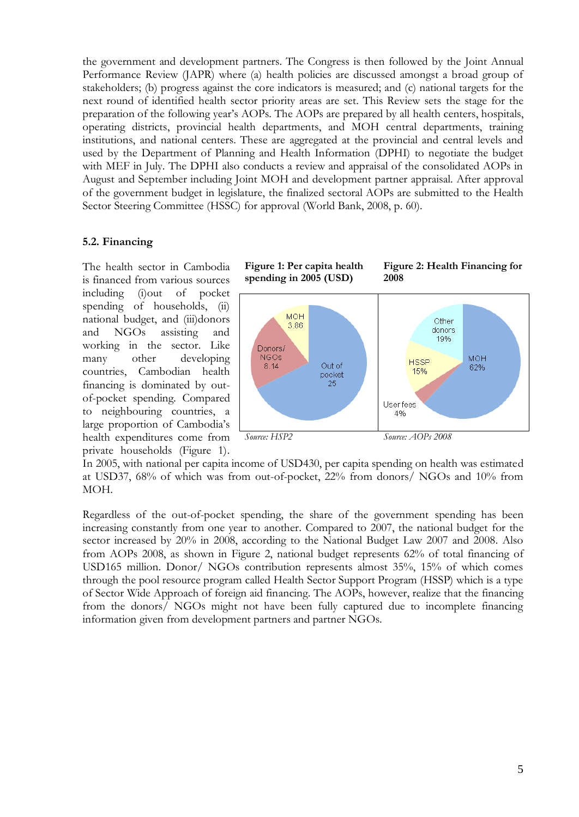the government and development partners. The Congress is then followed by the Joint Annual Performance Review (JAPR) where (a) health policies are discussed amongst a broad group of stakeholders; (b) progress against the core indicators is measured; and (c) national targets for the next round of identified health sector priority areas are set. This Review sets the stage for the preparation of the following year"s AOPs. The AOPs are prepared by all health centers, hospitals, operating districts, provincial health departments, and MOH central departments, training institutions, and national centers. These are aggregated at the provincial and central levels and used by the Department of Planning and Health Information (DPHI) to negotiate the budget with MEF in July. The DPHI also conducts a review and appraisal of the consolidated AOPs in August and September including Joint MOH and development partner appraisal. After approval of the government budget in legislature, the finalized sectoral AOPs are submitted to the Health Sector Steering Committee (HSSC) for approval (World Bank, 2008, p. 60).

#### <span id="page-13-0"></span>**5.2. Financing**

The health sector in Cambodia is financed from various sources including (i)out of pocket spending of households, (ii) national budget, and (iii)donors and NGOs assisting and working in the sector. Like many other developing countries, Cambodian health financing is dominated by outof-pocket spending. Compared to neighbouring countries, a large proportion of Cambodia's health expenditures come from private households (Figure 1).

**Figure 1: Per capita health spending in 2005 (USD) Figure 2: Health Financing for 2008**



In 2005, with national per capita income of USD430, per capita spending on health was estimated at USD37, 68% of which was from out-of-pocket, 22% from donors/ NGOs and 10% from MOH.

Regardless of the out-of-pocket spending, the share of the government spending has been increasing constantly from one year to another. Compared to 2007, the national budget for the sector increased by 20% in 2008, according to the National Budget Law 2007 and 2008. Also from AOPs 2008, as shown in Figure 2, national budget represents 62% of total financing of USD165 million. Donor/ NGOs contribution represents almost 35%, 15% of which comes through the pool resource program called Health Sector Support Program (HSSP) which is a type of Sector Wide Approach of foreign aid financing. The AOPs, however, realize that the financing from the donors/ NGOs might not have been fully captured due to incomplete financing information given from development partners and partner NGOs.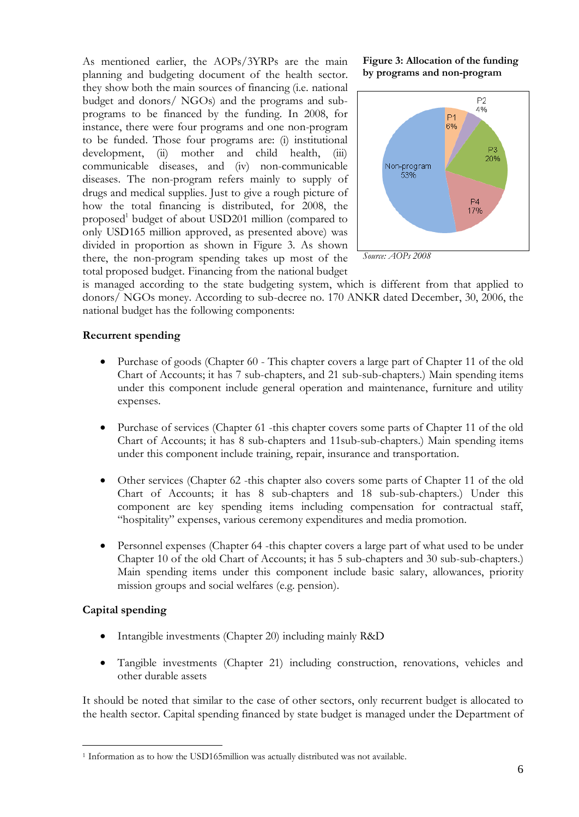As mentioned earlier, the AOPs/3YRPs are the main planning and budgeting document of the health sector. they show both the main sources of financing (i.e. national budget and donors/ NGOs) and the programs and subprograms to be financed by the funding. In 2008, for instance, there were four programs and one non-program to be funded. Those four programs are: (i) institutional development, (ii) mother and child health, (iii) communicable diseases, and (iv) non-communicable diseases. The non-program refers mainly to supply of drugs and medical supplies. Just to give a rough picture of how the total financing is distributed, for 2008, the proposed<sup>1</sup> budget of about USD201 million (compared to only USD165 million approved, as presented above) was divided in proportion as shown in Figure 3. As shown there, the non-program spending takes up most of the total proposed budget. Financing from the national budget

**Figure 3: Allocation of the funding by programs and non-program**



*Source: AOPs 2008*

is managed according to the state budgeting system, which is different from that applied to donors/ NGOs money. According to sub-decree no. 170 ANKR dated December, 30, 2006, the national budget has the following components:

#### **Recurrent spending**

- Purchase of goods (Chapter 60 This chapter covers a large part of Chapter 11 of the old Chart of Accounts; it has 7 sub-chapters, and 21 sub-sub-chapters.) Main spending items under this component include general operation and maintenance, furniture and utility expenses.
- Purchase of services (Chapter 61 -this chapter covers some parts of Chapter 11 of the old Chart of Accounts; it has 8 sub-chapters and 11sub-sub-chapters.) Main spending items under this component include training, repair, insurance and transportation.
- Other services (Chapter 62 -this chapter also covers some parts of Chapter 11 of the old Chart of Accounts; it has 8 sub-chapters and 18 sub-sub-chapters.) Under this component are key spending items including compensation for contractual staff, "hospitality" expenses, various ceremony expenditures and media promotion.
- Personnel expenses (Chapter 64 -this chapter covers a large part of what used to be under Chapter 10 of the old Chart of Accounts; it has 5 sub-chapters and 30 sub-sub-chapters.) Main spending items under this component include basic salary, allowances, priority mission groups and social welfares (e.g. pension).

#### **Capital spending**

 $\overline{a}$ 

- Intangible investments (Chapter 20) including mainly R&D
- Tangible investments (Chapter 21) including construction, renovations, vehicles and other durable assets

It should be noted that similar to the case of other sectors, only recurrent budget is allocated to the health sector. Capital spending financed by state budget is managed under the Department of

<sup>&</sup>lt;sup>1</sup> Information as to how the USD165million was actually distributed was not available.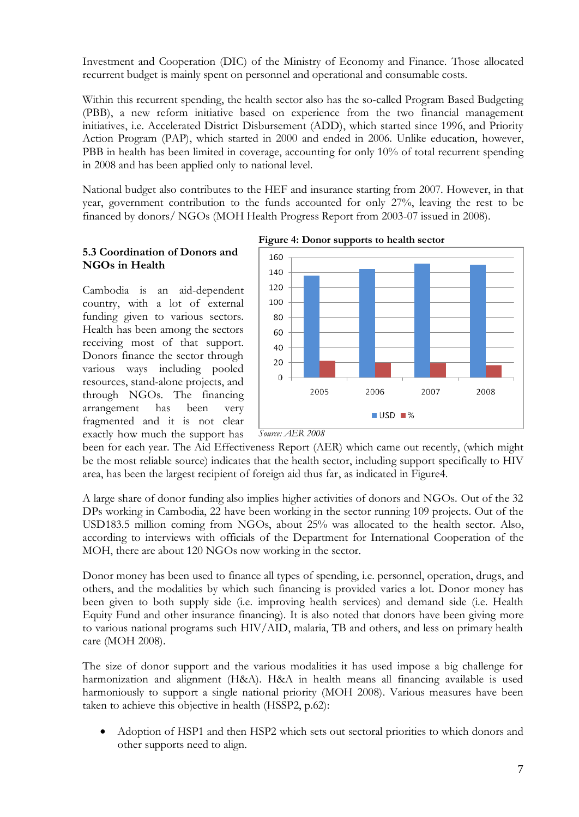Investment and Cooperation (DIC) of the Ministry of Economy and Finance. Those allocated recurrent budget is mainly spent on personnel and operational and consumable costs.

Within this recurrent spending, the health sector also has the so-called Program Based Budgeting (PBB), a new reform initiative based on experience from the two financial management initiatives, i.e. Accelerated District Disbursement (ADD), which started since 1996, and Priority Action Program (PAP), which started in 2000 and ended in 2006. Unlike education, however, PBB in health has been limited in coverage, accounting for only 10% of total recurrent spending in 2008 and has been applied only to national level.

National budget also contributes to the HEF and insurance starting from 2007. However, in that year, government contribution to the funds accounted for only 27%, leaving the rest to be financed by donors/ NGOs (MOH Health Progress Report from 2003-07 issued in 2008).

#### <span id="page-15-0"></span>**5.3 Coordination of Donors and NGOs in Health**

Cambodia is an aid-dependent country, with a lot of external funding given to various sectors. Health has been among the sectors receiving most of that support. Donors finance the sector through various ways including pooled resources, stand-alone projects, and through NGOs. The financing arrangement has been very fragmented and it is not clear exactly how much the support has



**Figure 4: Donor supports to health sector**

been for each year. The Aid Effectiveness Report (AER) which came out recently, (which might be the most reliable source) indicates that the health sector, including support specifically to HIV area, has been the largest recipient of foreign aid thus far, as indicated in Figure4.

A large share of donor funding also implies higher activities of donors and NGOs. Out of the 32 DPs working in Cambodia, 22 have been working in the sector running 109 projects. Out of the USD183.5 million coming from NGOs, about 25% was allocated to the health sector. Also, according to interviews with officials of the Department for International Cooperation of the MOH, there are about 120 NGOs now working in the sector.

Donor money has been used to finance all types of spending, i.e. personnel, operation, drugs, and others, and the modalities by which such financing is provided varies a lot. Donor money has been given to both supply side (i.e. improving health services) and demand side (i.e. Health Equity Fund and other insurance financing). It is also noted that donors have been giving more to various national programs such HIV/AID, malaria, TB and others, and less on primary health care (MOH 2008).

The size of donor support and the various modalities it has used impose a big challenge for harmonization and alignment (H&A). H&A in health means all financing available is used harmoniously to support a single national priority (MOH 2008). Various measures have been taken to achieve this objective in health (HSSP2, p.62):

 Adoption of HSP1 and then HSP2 which sets out sectoral priorities to which donors and other supports need to align.

*Source: AER 2008*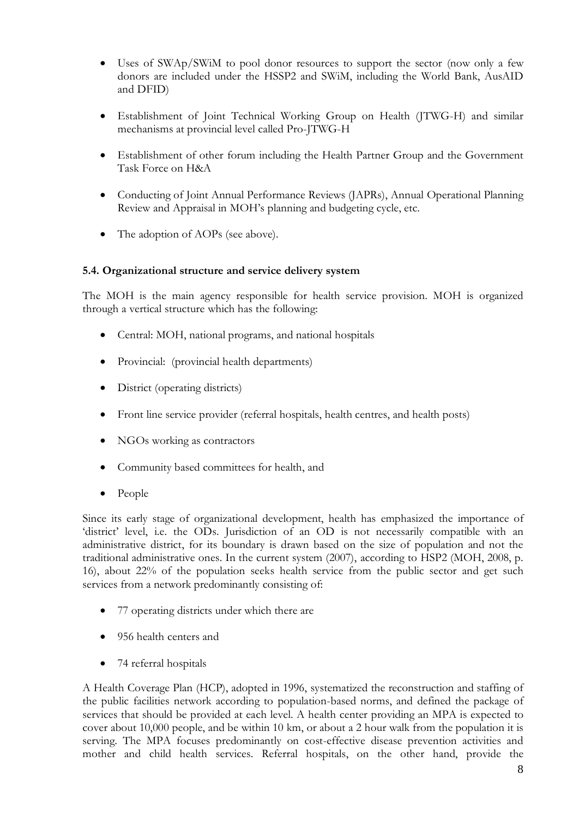- Uses of SWAp/SWiM to pool donor resources to support the sector (now only a few donors are included under the HSSP2 and SWiM, including the World Bank, AusAID and DFID)
- Establishment of Joint Technical Working Group on Health (JTWG-H) and similar mechanisms at provincial level called Pro-JTWG-H
- Establishment of other forum including the Health Partner Group and the Government Task Force on H&A
- Conducting of Joint Annual Performance Reviews (JAPRs), Annual Operational Planning Review and Appraisal in MOH"s planning and budgeting cycle, etc.
- The adoption of AOPs (see above).

#### <span id="page-16-0"></span>**5.4. Organizational structure and service delivery system**

The MOH is the main agency responsible for health service provision. MOH is organized through a vertical structure which has the following:

- Central: MOH, national programs, and national hospitals
- Provincial: (provincial health departments)
- District (operating districts)
- Front line service provider (referral hospitals, health centres, and health posts)
- NGOs working as contractors
- Community based committees for health, and
- People

Since its early stage of organizational development, health has emphasized the importance of 'district' level, i.e. the ODs. Jurisdiction of an OD is not necessarily compatible with an administrative district, for its boundary is drawn based on the size of population and not the traditional administrative ones. In the current system (2007), according to HSP2 (MOH, 2008, p. 16), about 22% of the population seeks health service from the public sector and get such services from a network predominantly consisting of:

- 77 operating districts under which there are
- 956 health centers and
- 74 referral hospitals

A Health Coverage Plan (HCP), adopted in 1996, systematized the reconstruction and staffing of the public facilities network according to population-based norms, and defined the package of services that should be provided at each level. A health center providing an MPA is expected to cover about 10,000 people, and be within 10 km, or about a 2 hour walk from the population it is serving. The MPA focuses predominantly on cost-effective disease prevention activities and mother and child health services. Referral hospitals, on the other hand, provide the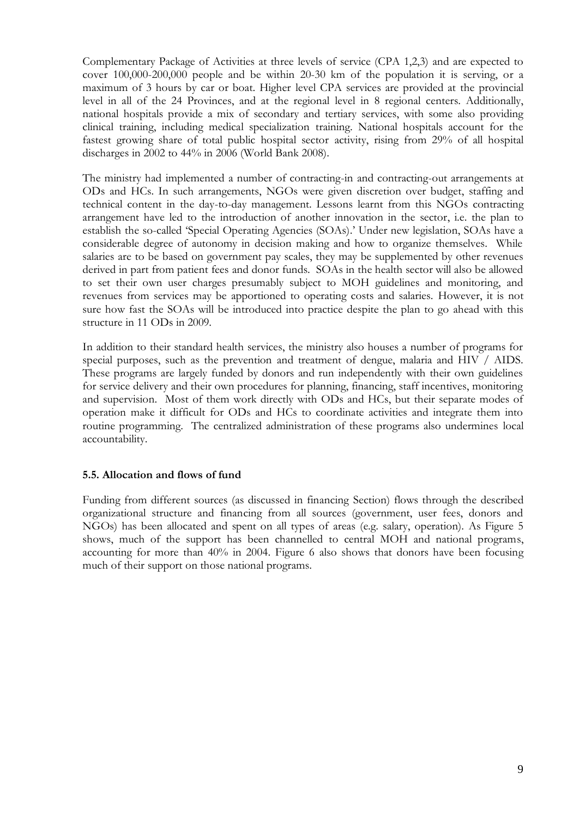Complementary Package of Activities at three levels of service (CPA 1,2,3) and are expected to cover 100,000-200,000 people and be within 20-30 km of the population it is serving, or a maximum of 3 hours by car or boat. Higher level CPA services are provided at the provincial level in all of the 24 Provinces, and at the regional level in 8 regional centers. Additionally, national hospitals provide a mix of secondary and tertiary services, with some also providing clinical training, including medical specialization training. National hospitals account for the fastest growing share of total public hospital sector activity, rising from 29% of all hospital discharges in 2002 to 44% in 2006 (World Bank 2008).

The ministry had implemented a number of contracting-in and contracting-out arrangements at ODs and HCs. In such arrangements, NGOs were given discretion over budget, staffing and technical content in the day-to-day management. Lessons learnt from this NGOs contracting arrangement have led to the introduction of another innovation in the sector, i.e. the plan to establish the so-called "Special Operating Agencies (SOAs)." Under new legislation, SOAs have a considerable degree of autonomy in decision making and how to organize themselves. While salaries are to be based on government pay scales, they may be supplemented by other revenues derived in part from patient fees and donor funds. SOAs in the health sector will also be allowed to set their own user charges presumably subject to MOH guidelines and monitoring, and revenues from services may be apportioned to operating costs and salaries. However, it is not sure how fast the SOAs will be introduced into practice despite the plan to go ahead with this structure in 11 ODs in 2009.

In addition to their standard health services, the ministry also houses a number of programs for special purposes, such as the prevention and treatment of dengue, malaria and HIV / AIDS. These programs are largely funded by donors and run independently with their own guidelines for service delivery and their own procedures for planning, financing, staff incentives, monitoring and supervision. Most of them work directly with ODs and HCs, but their separate modes of operation make it difficult for ODs and HCs to coordinate activities and integrate them into routine programming. The centralized administration of these programs also undermines local accountability.

#### <span id="page-17-0"></span>**5.5. Allocation and flows of fund**

Funding from different sources (as discussed in financing Section) flows through the described organizational structure and financing from all sources (government, user fees, donors and NGOs) has been allocated and spent on all types of areas (e.g. salary, operation). As Figure 5 shows, much of the support has been channelled to central MOH and national programs, accounting for more than 40% in 2004. Figure 6 also shows that donors have been focusing much of their support on those national programs.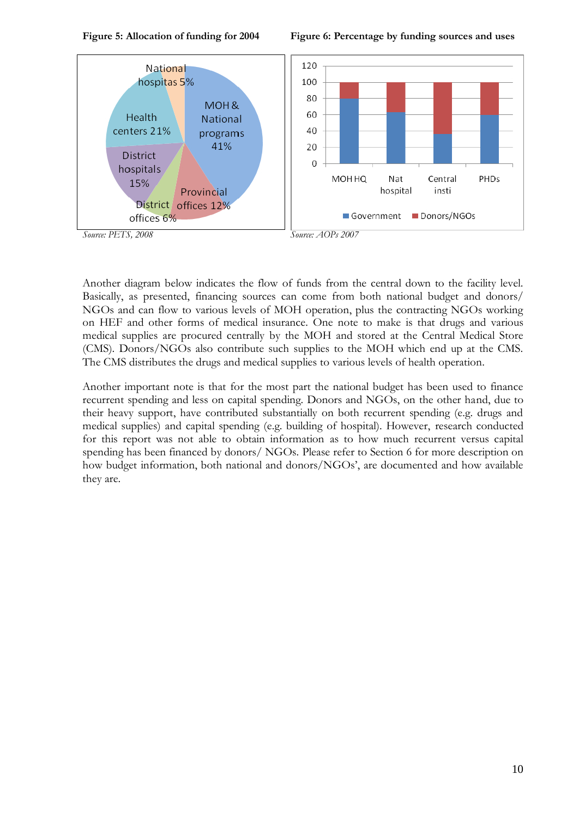

**Figure 5: Allocation of funding for 2004 Figure 6: Percentage by funding sources and uses**



Another diagram below indicates the flow of funds from the central down to the facility level. Basically, as presented, financing sources can come from both national budget and donors/ NGOs and can flow to various levels of MOH operation, plus the contracting NGOs working on HEF and other forms of medical insurance. One note to make is that drugs and various medical supplies are procured centrally by the MOH and stored at the Central Medical Store (CMS). Donors/NGOs also contribute such supplies to the MOH which end up at the CMS. The CMS distributes the drugs and medical supplies to various levels of health operation.

Another important note is that for the most part the national budget has been used to finance recurrent spending and less on capital spending. Donors and NGOs, on the other hand, due to their heavy support, have contributed substantially on both recurrent spending (e.g. drugs and medical supplies) and capital spending (e.g. building of hospital). However, research conducted for this report was not able to obtain information as to how much recurrent versus capital spending has been financed by donors/ NGOs. Please refer to Section 6 for more description on how budget information, both national and donors/NGOs', are documented and how available they are.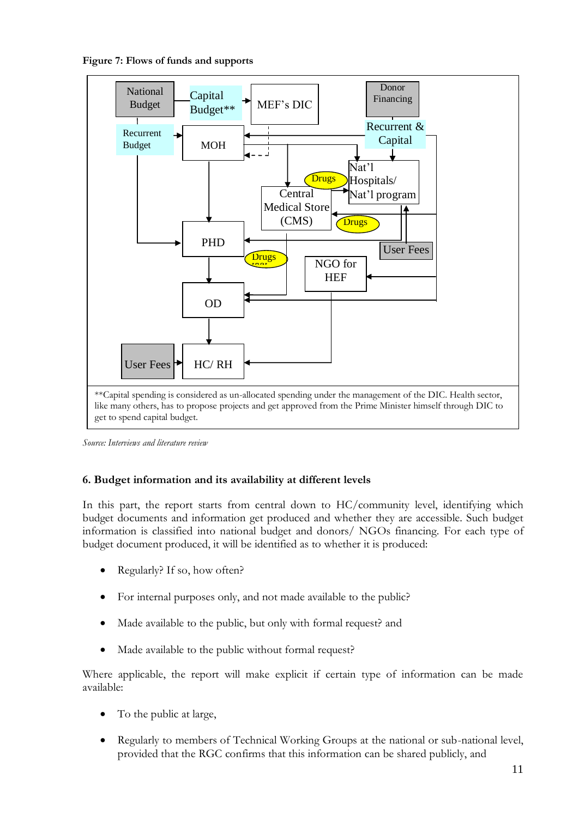**Figure 7: Flows of funds and supports**



*Source: Interviews and literature review*

#### <span id="page-19-0"></span>**6. Budget information and its availability at different levels**

In this part, the report starts from central down to HC/community level, identifying which budget documents and information get produced and whether they are accessible. Such budget information is classified into national budget and donors/ NGOs financing. For each type of budget document produced, it will be identified as to whether it is produced:

- Regularly? If so, how often?
- For internal purposes only, and not made available to the public?
- Made available to the public, but only with formal request? and
- Made available to the public without formal request?

Where applicable, the report will make explicit if certain type of information can be made available:

- To the public at large,
- Regularly to members of Technical Working Groups at the national or sub-national level, provided that the RGC confirms that this information can be shared publicly, and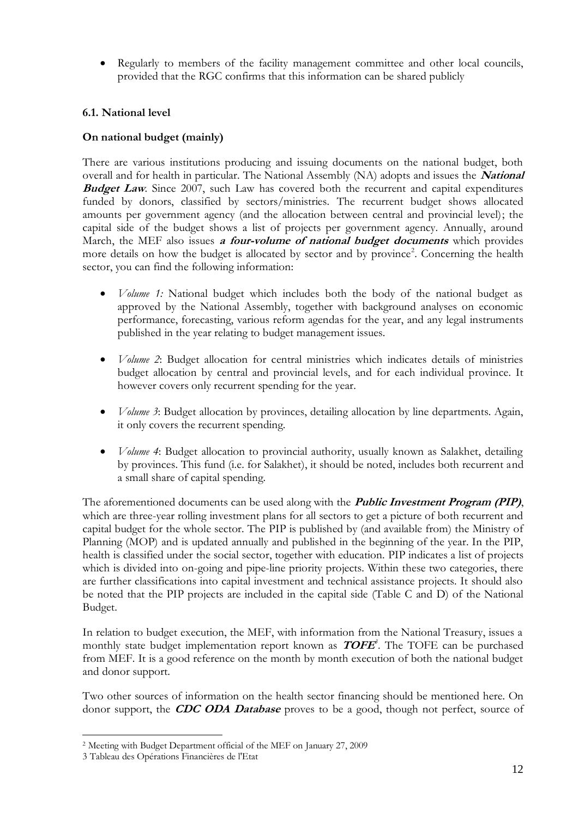Regularly to members of the facility management committee and other local councils, provided that the RGC confirms that this information can be shared publicly

#### <span id="page-20-0"></span>**6.1. National level**

#### **On national budget (mainly)**

There are various institutions producing and issuing documents on the national budget, both overall and for health in particular. The National Assembly (NA) adopts and issues the **National Budget Law**. Since 2007, such Law has covered both the recurrent and capital expenditures funded by donors, classified by sectors/ministries. The recurrent budget shows allocated amounts per government agency (and the allocation between central and provincial level); the capital side of the budget shows a list of projects per government agency. Annually, around March, the MEF also issues **a four-volume of national budget documents** which provides more details on how the budget is allocated by sector and by province<sup>2</sup>. Concerning the health sector, you can find the following information:

- *Volume 1:* National budget which includes both the body of the national budget as approved by the National Assembly, together with background analyses on economic performance, forecasting, various reform agendas for the year, and any legal instruments published in the year relating to budget management issues.
- *Volume 2*: Budget allocation for central ministries which indicates details of ministries budget allocation by central and provincial levels, and for each individual province. It however covers only recurrent spending for the year.
- *Volume 3*: Budget allocation by provinces, detailing allocation by line departments. Again, it only covers the recurrent spending.
- *Volume 4*: Budget allocation to provincial authority, usually known as Salakhet, detailing by provinces. This fund (i.e. for Salakhet), it should be noted, includes both recurrent and a small share of capital spending.

The aforementioned documents can be used along with the **Public Investment Program (PIP)**, which are three-year rolling investment plans for all sectors to get a picture of both recurrent and capital budget for the whole sector. The PIP is published by (and available from) the Ministry of Planning (MOP) and is updated annually and published in the beginning of the year. In the PIP, health is classified under the social sector, together with education. PIP indicates a list of projects which is divided into on-going and pipe-line priority projects. Within these two categories, there are further classifications into capital investment and technical assistance projects. It should also be noted that the PIP projects are included in the capital side (Table C and D) of the National Budget.

In relation to budget execution, the MEF, with information from the National Treasury, issues a monthly state budget implementation report known as **TOFE** *3* . The TOFE can be purchased from MEF. It is a good reference on the month by month execution of both the national budget and donor support.

Two other sources of information on the health sector financing should be mentioned here. On donor support, the **CDC ODA Database** proves to be a good, though not perfect, source of

 $\overline{a}$ 

<sup>2</sup> Meeting with Budget Department official of the MEF on January 27, 2009

<sup>3</sup> Tableau des Opérations Financières de l'Etat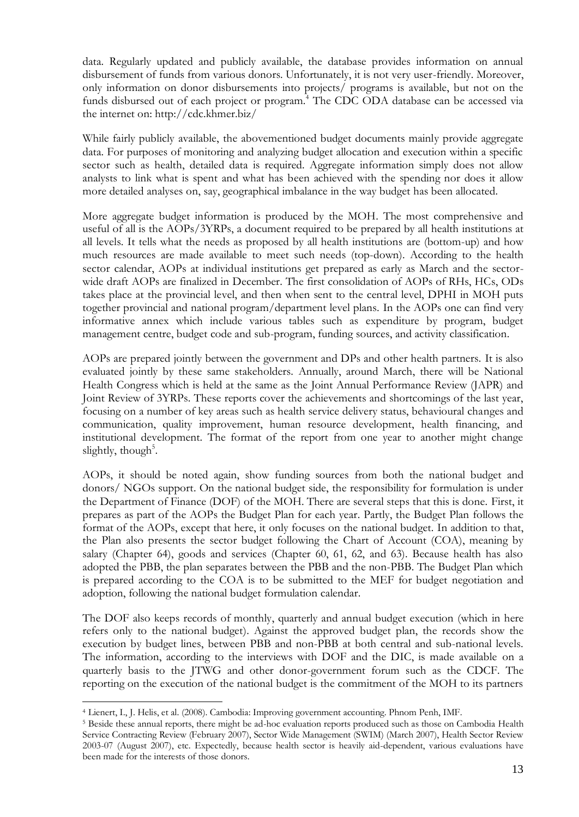data. Regularly updated and publicly available, the database provides information on annual disbursement of funds from various donors. Unfortunately, it is not very user-friendly. Moreover, only information on donor disbursements into projects/ programs is available, but not on the funds disbursed out of each project or program.<sup>4</sup> The CDC ODA database can be accessed via the internet on: http://cdc.khmer.biz/

While fairly publicly available, the abovementioned budget documents mainly provide aggregate data. For purposes of monitoring and analyzing budget allocation and execution within a specific sector such as health, detailed data is required. Aggregate information simply does not allow analysts to link what is spent and what has been achieved with the spending nor does it allow more detailed analyses on, say, geographical imbalance in the way budget has been allocated.

More aggregate budget information is produced by the MOH. The most comprehensive and useful of all is the AOPs/3YRPs, a document required to be prepared by all health institutions at all levels. It tells what the needs as proposed by all health institutions are (bottom-up) and how much resources are made available to meet such needs (top-down). According to the health sector calendar, AOPs at individual institutions get prepared as early as March and the sectorwide draft AOPs are finalized in December. The first consolidation of AOPs of RHs, HCs, ODs takes place at the provincial level, and then when sent to the central level, DPHI in MOH puts together provincial and national program/department level plans. In the AOPs one can find very informative annex which include various tables such as expenditure by program, budget management centre, budget code and sub-program, funding sources, and activity classification.

AOPs are prepared jointly between the government and DPs and other health partners. It is also evaluated jointly by these same stakeholders. Annually, around March, there will be National Health Congress which is held at the same as the Joint Annual Performance Review (JAPR) and Joint Review of 3YRPs. These reports cover the achievements and shortcomings of the last year, focusing on a number of key areas such as health service delivery status, behavioural changes and communication, quality improvement, human resource development, health financing, and institutional development. The format of the report from one year to another might change slightly, though<sup>5</sup>.

AOPs, it should be noted again, show funding sources from both the national budget and donors/ NGOs support. On the national budget side, the responsibility for formulation is under the Department of Finance (DOF) of the MOH. There are several steps that this is done. First, it prepares as part of the AOPs the Budget Plan for each year. Partly, the Budget Plan follows the format of the AOPs, except that here, it only focuses on the national budget. In addition to that, the Plan also presents the sector budget following the Chart of Account (COA), meaning by salary (Chapter 64), goods and services (Chapter 60, 61, 62, and 63). Because health has also adopted the PBB, the plan separates between the PBB and the non-PBB. The Budget Plan which is prepared according to the COA is to be submitted to the MEF for budget negotiation and adoption, following the national budget formulation calendar.

The DOF also keeps records of monthly, quarterly and annual budget execution (which in here refers only to the national budget). Against the approved budget plan, the records show the execution by budget lines, between PBB and non-PBB at both central and sub-national levels. The information, according to the interviews with DOF and the DIC, is made available on a quarterly basis to the JTWG and other donor-government forum such as the CDCF. The reporting on the execution of the national budget is the commitment of the MOH to its partners

 $\overline{a}$ 

<sup>4</sup> Lienert, I., J. Helis, et al. (2008). Cambodia: Improving government accounting. Phnom Penh, IMF.

<sup>&</sup>lt;sup>5</sup> Beside these annual reports, there might be ad-hoc evaluation reports produced such as those on Cambodia Health Service Contracting Review (February 2007), Sector Wide Management (SWIM) (March 2007), Health Sector Review 2003-07 (August 2007), etc. Expectedly, because health sector is heavily aid-dependent, various evaluations have been made for the interests of those donors.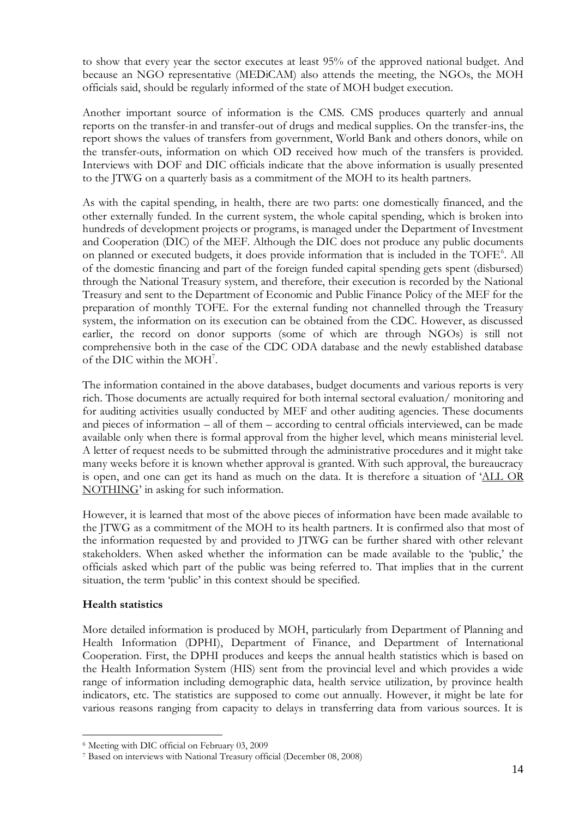to show that every year the sector executes at least 95% of the approved national budget. And because an NGO representative (MEDiCAM) also attends the meeting, the NGOs, the MOH officials said, should be regularly informed of the state of MOH budget execution.

Another important source of information is the CMS. CMS produces quarterly and annual reports on the transfer-in and transfer-out of drugs and medical supplies. On the transfer-ins, the report shows the values of transfers from government, World Bank and others donors, while on the transfer-outs, information on which OD received how much of the transfers is provided. Interviews with DOF and DIC officials indicate that the above information is usually presented to the JTWG on a quarterly basis as a commitment of the MOH to its health partners.

As with the capital spending, in health, there are two parts: one domestically financed, and the other externally funded. In the current system, the whole capital spending, which is broken into hundreds of development projects or programs, is managed under the Department of Investment and Cooperation (DIC) of the MEF. Although the DIC does not produce any public documents on planned or executed budgets, it does provide information that is included in the TOFE<sup>6</sup>. All of the domestic financing and part of the foreign funded capital spending gets spent (disbursed) through the National Treasury system, and therefore, their execution is recorded by the National Treasury and sent to the Department of Economic and Public Finance Policy of the MEF for the preparation of monthly TOFE. For the external funding not channelled through the Treasury system, the information on its execution can be obtained from the CDC. However, as discussed earlier, the record on donor supports (some of which are through NGOs) is still not comprehensive both in the case of the CDC ODA database and the newly established database of the DIC within the MOH<sup>7</sup>.

The information contained in the above databases, budget documents and various reports is very rich. Those documents are actually required for both internal sectoral evaluation/ monitoring and for auditing activities usually conducted by MEF and other auditing agencies. These documents and pieces of information – all of them – according to central officials interviewed, can be made available only when there is formal approval from the higher level, which means ministerial level. A letter of request needs to be submitted through the administrative procedures and it might take many weeks before it is known whether approval is granted. With such approval, the bureaucracy is open, and one can get its hand as much on the data. It is therefore a situation of "ALL OR NOTHING" in asking for such information.

However, it is learned that most of the above pieces of information have been made available to the JTWG as a commitment of the MOH to its health partners. It is confirmed also that most of the information requested by and provided to JTWG can be further shared with other relevant stakeholders. When asked whether the information can be made available to the 'public,' the officials asked which part of the public was being referred to. That implies that in the current situation, the term 'public' in this context should be specified.

#### **Health statistics**

 $\overline{a}$ 

More detailed information is produced by MOH, particularly from Department of Planning and Health Information (DPHI), Department of Finance, and Department of International Cooperation. First, the DPHI produces and keeps the annual health statistics which is based on the Health Information System (HIS) sent from the provincial level and which provides a wide range of information including demographic data, health service utilization, by province health indicators, etc. The statistics are supposed to come out annually. However, it might be late for various reasons ranging from capacity to delays in transferring data from various sources. It is

<sup>6</sup> Meeting with DIC official on February 03, 2009

<sup>7</sup> Based on interviews with National Treasury official (December 08, 2008)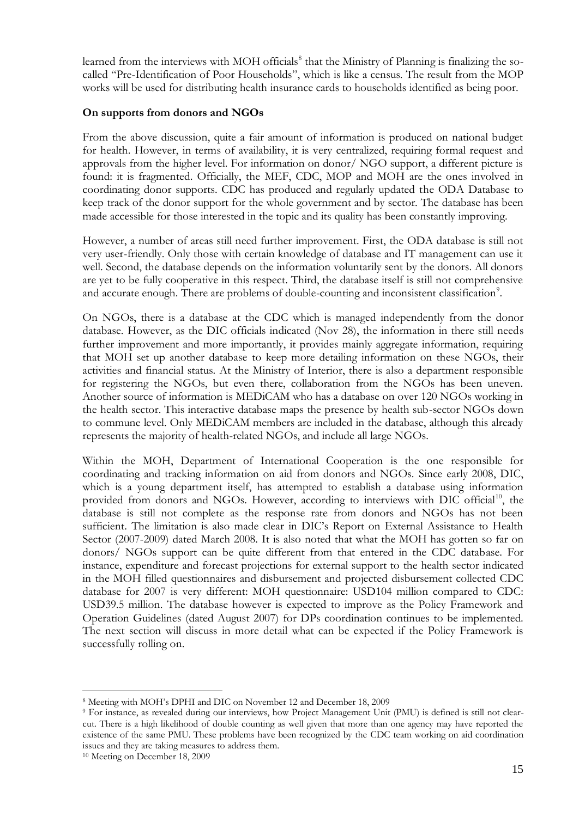learned from the interviews with MOH officials<sup>8</sup> that the Ministry of Planning is finalizing the socalled "Pre-Identification of Poor Households", which is like a census. The result from the MOP works will be used for distributing health insurance cards to households identified as being poor.

#### **On supports from donors and NGOs**

From the above discussion, quite a fair amount of information is produced on national budget for health. However, in terms of availability, it is very centralized, requiring formal request and approvals from the higher level. For information on donor/ NGO support, a different picture is found: it is fragmented. Officially, the MEF, CDC, MOP and MOH are the ones involved in coordinating donor supports. CDC has produced and regularly updated the ODA Database to keep track of the donor support for the whole government and by sector. The database has been made accessible for those interested in the topic and its quality has been constantly improving.

However, a number of areas still need further improvement. First, the ODA database is still not very user-friendly. Only those with certain knowledge of database and IT management can use it well. Second, the database depends on the information voluntarily sent by the donors. All donors are yet to be fully cooperative in this respect. Third, the database itself is still not comprehensive and accurate enough. There are problems of double-counting and inconsistent classification<sup>9</sup>.

On NGOs, there is a database at the CDC which is managed independently from the donor database. However, as the DIC officials indicated (Nov 28), the information in there still needs further improvement and more importantly, it provides mainly aggregate information, requiring that MOH set up another database to keep more detailing information on these NGOs, their activities and financial status. At the Ministry of Interior, there is also a department responsible for registering the NGOs, but even there, collaboration from the NGOs has been uneven. Another source of information is MEDiCAM who has a database on over 120 NGOs working in the health sector. This interactive database maps the presence by health sub-sector NGOs down to commune level. Only MEDiCAM members are included in the database, although this already represents the majority of health-related NGOs, and include all large NGOs.

Within the MOH, Department of International Cooperation is the one responsible for coordinating and tracking information on aid from donors and NGOs. Since early 2008, DIC, which is a young department itself, has attempted to establish a database using information provided from donors and NGOs. However, according to interviews with DIC official<sup>10</sup>, the database is still not complete as the response rate from donors and NGOs has not been sufficient. The limitation is also made clear in DIC's Report on External Assistance to Health Sector (2007-2009) dated March 2008. It is also noted that what the MOH has gotten so far on donors/ NGOs support can be quite different from that entered in the CDC database. For instance, expenditure and forecast projections for external support to the health sector indicated in the MOH filled questionnaires and disbursement and projected disbursement collected CDC database for 2007 is very different: MOH questionnaire: USD104 million compared to CDC: USD39.5 million. The database however is expected to improve as the Policy Framework and Operation Guidelines (dated August 2007) for DPs coordination continues to be implemented. The next section will discuss in more detail what can be expected if the Policy Framework is successfully rolling on.

 $\overline{a}$ 

<sup>8</sup> Meeting with MOH"s DPHI and DIC on November 12 and December 18, 2009

<sup>9</sup> For instance, as revealed during our interviews, how Project Management Unit (PMU) is defined is still not clearcut. There is a high likelihood of double counting as well given that more than one agency may have reported the existence of the same PMU. These problems have been recognized by the CDC team working on aid coordination issues and they are taking measures to address them.

<sup>10</sup> Meeting on December 18, 2009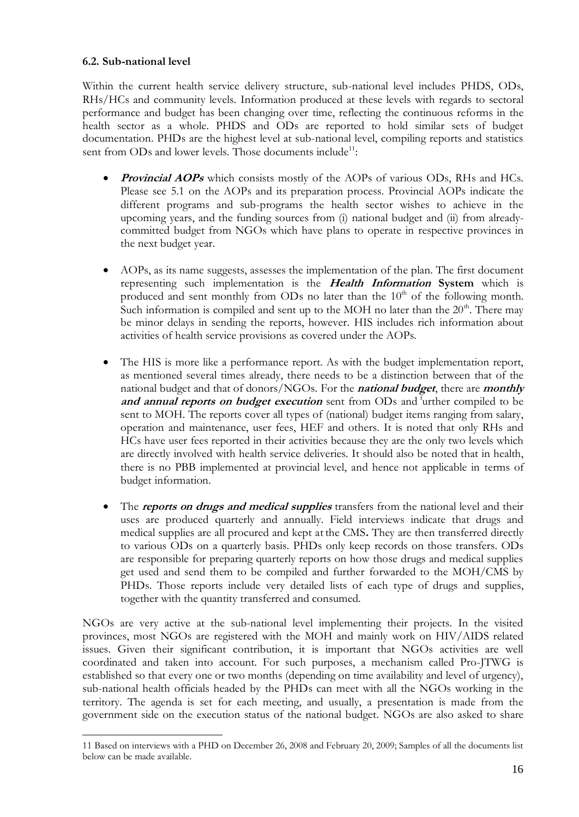#### <span id="page-24-0"></span>**6.2. Sub-national level**

 $\overline{a}$ 

Within the current health service delivery structure, sub-national level includes PHDS, ODs, RHs/HCs and community levels. Information produced at these levels with regards to sectoral performance and budget has been changing over time, reflecting the continuous reforms in the health sector as a whole. PHDS and ODs are reported to hold similar sets of budget documentation. PHDs are the highest level at sub-national level, compiling reports and statistics sent from ODs and lower levels. Those documents include<sup>11</sup>:

- **Provincial AOPs** which consists mostly of the AOPs of various ODs, RHs and HCs. Please see 5.1 on the AOPs and its preparation process. Provincial AOPs indicate the different programs and sub-programs the health sector wishes to achieve in the upcoming years, and the funding sources from (i) national budget and (ii) from alreadycommitted budget from NGOs which have plans to operate in respective provinces in the next budget year.
- AOPs, as its name suggests, assesses the implementation of the plan. The first document representing such implementation is the **Health Information System** which is produced and sent monthly from ODs no later than the  $10<sup>th</sup>$  of the following month. Such information is compiled and sent up to the MOH no later than the  $20<sup>th</sup>$ . There may be minor delays in sending the reports, however. HIS includes rich information about activities of health service provisions as covered under the AOPs.
- The HIS is more like a performance report. As with the budget implementation report, as mentioned several times already, there needs to be a distinction between that of the national budget and that of donors/NGOs. For the **national budget**, there are **monthly**  and annual reports on budget execution sent from ODs and <sup>f</sup>urther compiled to be sent to MOH. The reports cover all types of (national) budget items ranging from salary, operation and maintenance, user fees, HEF and others. It is noted that only RHs and HCs have user fees reported in their activities because they are the only two levels which are directly involved with health service deliveries. It should also be noted that in health, there is no PBB implemented at provincial level, and hence not applicable in terms of budget information.
- The **reports on drugs and medical supplies** transfers from the national level and their uses are produced quarterly and annually. Field interviews indicate that drugs and medical supplies are all procured and kept at the CMS**.** They are then transferred directly to various ODs on a quarterly basis. PHDs only keep records on those transfers. ODs are responsible for preparing quarterly reports on how those drugs and medical supplies get used and send them to be compiled and further forwarded to the MOH/CMS by PHDs. Those reports include very detailed lists of each type of drugs and supplies, together with the quantity transferred and consumed.

NGOs are very active at the sub-national level implementing their projects. In the visited provinces, most NGOs are registered with the MOH and mainly work on HIV/AIDS related issues. Given their significant contribution, it is important that NGOs activities are well coordinated and taken into account. For such purposes, a mechanism called Pro-JTWG is established so that every one or two months (depending on time availability and level of urgency), sub-national health officials headed by the PHDs can meet with all the NGOs working in the territory. The agenda is set for each meeting, and usually, a presentation is made from the government side on the execution status of the national budget. NGOs are also asked to share

<sup>11</sup> Based on interviews with a PHD on December 26, 2008 and February 20, 2009; Samples of all the documents list below can be made available.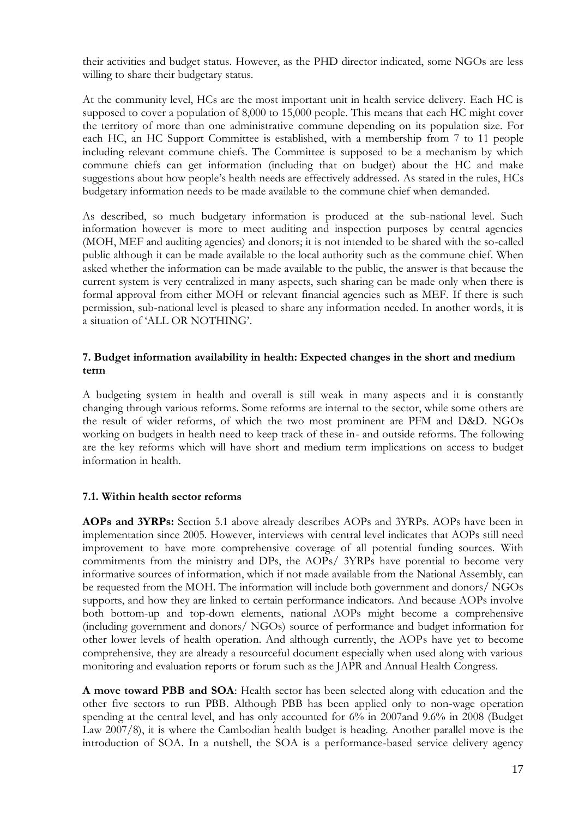their activities and budget status. However, as the PHD director indicated, some NGOs are less willing to share their budgetary status.

At the community level, HCs are the most important unit in health service delivery. Each HC is supposed to cover a population of 8,000 to 15,000 people. This means that each HC might cover the territory of more than one administrative commune depending on its population size. For each HC, an HC Support Committee is established, with a membership from 7 to 11 people including relevant commune chiefs. The Committee is supposed to be a mechanism by which commune chiefs can get information (including that on budget) about the HC and make suggestions about how people"s health needs are effectively addressed. As stated in the rules, HCs budgetary information needs to be made available to the commune chief when demanded.

As described, so much budgetary information is produced at the sub-national level. Such information however is more to meet auditing and inspection purposes by central agencies (MOH, MEF and auditing agencies) and donors; it is not intended to be shared with the so-called public although it can be made available to the local authority such as the commune chief. When asked whether the information can be made available to the public, the answer is that because the current system is very centralized in many aspects, such sharing can be made only when there is formal approval from either MOH or relevant financial agencies such as MEF. If there is such permission, sub-national level is pleased to share any information needed. In another words, it is a situation of 'ALL OR NOTHING'.

#### <span id="page-25-0"></span>**7. Budget information availability in health: Expected changes in the short and medium term**

A budgeting system in health and overall is still weak in many aspects and it is constantly changing through various reforms. Some reforms are internal to the sector, while some others are the result of wider reforms, of which the two most prominent are PFM and D&D. NGOs working on budgets in health need to keep track of these in- and outside reforms. The following are the key reforms which will have short and medium term implications on access to budget information in health.

#### <span id="page-25-1"></span>**7.1. Within health sector reforms**

**AOPs and 3YRPs:** Section 5.1 above already describes AOPs and 3YRPs. AOPs have been in implementation since 2005. However, interviews with central level indicates that AOPs still need improvement to have more comprehensive coverage of all potential funding sources. With commitments from the ministry and DPs, the AOPs/ 3YRPs have potential to become very informative sources of information, which if not made available from the National Assembly, can be requested from the MOH. The information will include both government and donors/ NGOs supports, and how they are linked to certain performance indicators. And because AOPs involve both bottom-up and top-down elements, national AOPs might become a comprehensive (including government and donors/ NGOs) source of performance and budget information for other lower levels of health operation. And although currently, the AOPs have yet to become comprehensive, they are already a resourceful document especially when used along with various monitoring and evaluation reports or forum such as the JAPR and Annual Health Congress.

**A move toward PBB and SOA**: Health sector has been selected along with education and the other five sectors to run PBB. Although PBB has been applied only to non-wage operation spending at the central level, and has only accounted for 6% in 2007and 9.6% in 2008 (Budget Law 2007/8), it is where the Cambodian health budget is heading. Another parallel move is the introduction of SOA. In a nutshell, the SOA is a performance-based service delivery agency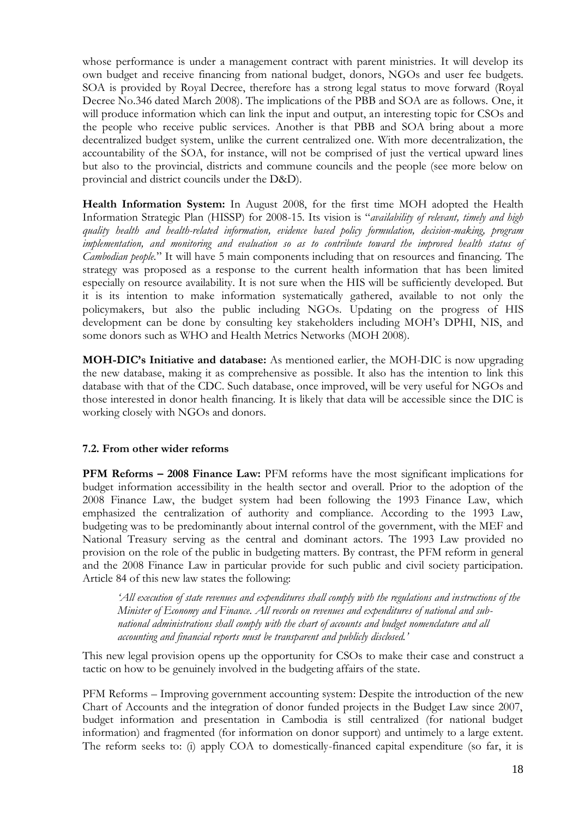whose performance is under a management contract with parent ministries. It will develop its own budget and receive financing from national budget, donors, NGOs and user fee budgets. SOA is provided by Royal Decree, therefore has a strong legal status to move forward (Royal Decree No.346 dated March 2008). The implications of the PBB and SOA are as follows. One, it will produce information which can link the input and output, an interesting topic for CSOs and the people who receive public services. Another is that PBB and SOA bring about a more decentralized budget system, unlike the current centralized one. With more decentralization, the accountability of the SOA, for instance, will not be comprised of just the vertical upward lines but also to the provincial, districts and commune councils and the people (see more below on provincial and district councils under the D&D).

**Health Information System:** In August 2008, for the first time MOH adopted the Health Information Strategic Plan (HISSP) for 2008-15. Its vision is "*availability of relevant, timely and high quality health and health-related information, evidence based policy formulation, decision-making, program implementation, and monitoring and evaluation so as to contribute toward the improved health status of Cambodian people.*" It will have 5 main components including that on resources and financing. The strategy was proposed as a response to the current health information that has been limited especially on resource availability. It is not sure when the HIS will be sufficiently developed. But it is its intention to make information systematically gathered, available to not only the policymakers, but also the public including NGOs. Updating on the progress of HIS development can be done by consulting key stakeholders including MOH"s DPHI, NIS, and some donors such as WHO and Health Metrics Networks (MOH 2008).

**MOH-DIC's Initiative and database:** As mentioned earlier, the MOH-DIC is now upgrading the new database, making it as comprehensive as possible. It also has the intention to link this database with that of the CDC. Such database, once improved, will be very useful for NGOs and those interested in donor health financing. It is likely that data will be accessible since the DIC is working closely with NGOs and donors.

#### <span id="page-26-0"></span>**7.2. From other wider reforms**

**PFM Reforms – 2008 Finance Law:** PFM reforms have the most significant implications for budget information accessibility in the health sector and overall. Prior to the adoption of the 2008 Finance Law, the budget system had been following the 1993 Finance Law, which emphasized the centralization of authority and compliance. According to the 1993 Law, budgeting was to be predominantly about internal control of the government, with the MEF and National Treasury serving as the central and dominant actors. The 1993 Law provided no provision on the role of the public in budgeting matters. By contrast, the PFM reform in general and the 2008 Finance Law in particular provide for such public and civil society participation. Article 84 of this new law states the following:

*'All execution of state revenues and expenditures shall comply with the regulations and instructions of the Minister of Economy and Finance. All records on revenues and expenditures of national and subnational administrations shall comply with the chart of accounts and budget nomenclature and all accounting and financial reports must be transparent and publicly disclosed.'* 

This new legal provision opens up the opportunity for CSOs to make their case and construct a tactic on how to be genuinely involved in the budgeting affairs of the state.

PFM Reforms – Improving government accounting system: Despite the introduction of the new Chart of Accounts and the integration of donor funded projects in the Budget Law since 2007, budget information and presentation in Cambodia is still centralized (for national budget information) and fragmented (for information on donor support) and untimely to a large extent. The reform seeks to: (i) apply COA to domestically-financed capital expenditure (so far, it is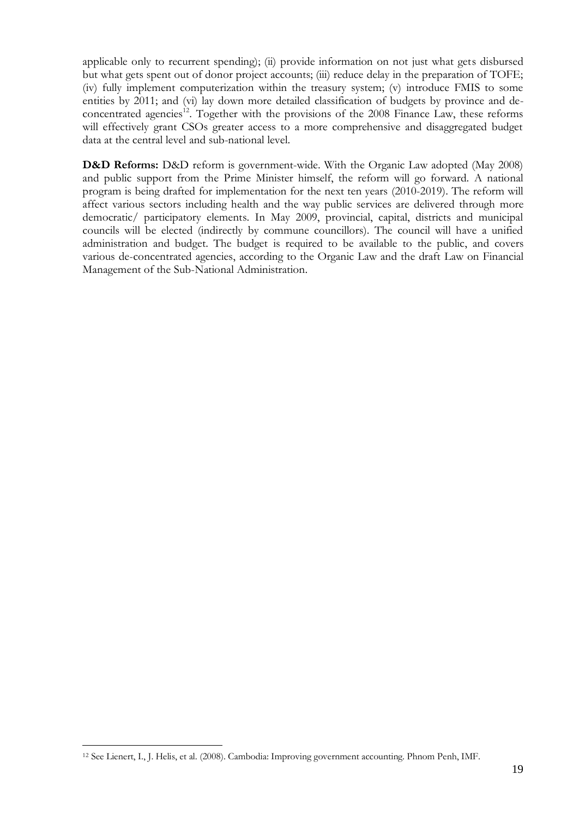applicable only to recurrent spending); (ii) provide information on not just what gets disbursed but what gets spent out of donor project accounts; (iii) reduce delay in the preparation of TOFE; (iv) fully implement computerization within the treasury system; (v) introduce FMIS to some entities by 2011; and (vi) lay down more detailed classification of budgets by province and deconcentrated agencies<sup>12</sup>. Together with the provisions of the 2008 Finance Law, these reforms will effectively grant CSOs greater access to a more comprehensive and disaggregated budget data at the central level and sub-national level.

**D&D Reforms:** D&D reform is government-wide. With the Organic Law adopted (May 2008) and public support from the Prime Minister himself, the reform will go forward. A national program is being drafted for implementation for the next ten years (2010-2019). The reform will affect various sectors including health and the way public services are delivered through more democratic/ participatory elements. In May 2009, provincial, capital, districts and municipal councils will be elected (indirectly by commune councillors). The council will have a unified administration and budget. The budget is required to be available to the public, and covers various de-concentrated agencies, according to the Organic Law and the draft Law on Financial Management of the Sub-National Administration.

 $\overline{a}$ 

<sup>12</sup> See Lienert, I., J. Helis, et al. (2008). Cambodia: Improving government accounting. Phnom Penh, IMF.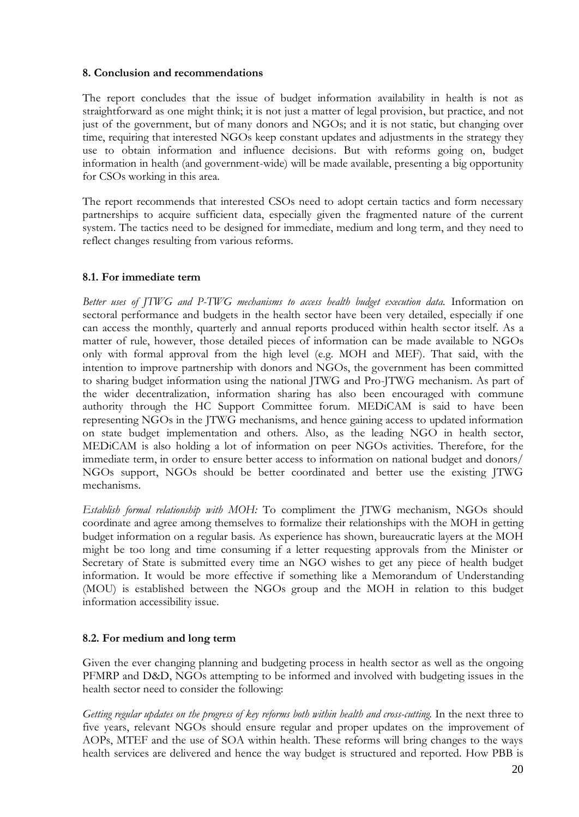#### <span id="page-28-0"></span>**8. Conclusion and recommendations**

The report concludes that the issue of budget information availability in health is not as straightforward as one might think; it is not just a matter of legal provision, but practice, and not just of the government, but of many donors and NGOs; and it is not static, but changing over time, requiring that interested NGOs keep constant updates and adjustments in the strategy they use to obtain information and influence decisions. But with reforms going on, budget information in health (and government-wide) will be made available, presenting a big opportunity for CSOs working in this area.

The report recommends that interested CSOs need to adopt certain tactics and form necessary partnerships to acquire sufficient data, especially given the fragmented nature of the current system. The tactics need to be designed for immediate, medium and long term, and they need to reflect changes resulting from various reforms.

#### <span id="page-28-1"></span>**8.1. For immediate term**

*Better uses of JTWG and P-TWG mechanisms to access health budget execution data.* Information on sectoral performance and budgets in the health sector have been very detailed, especially if one can access the monthly, quarterly and annual reports produced within health sector itself. As a matter of rule, however, those detailed pieces of information can be made available to NGOs only with formal approval from the high level (e.g. MOH and MEF). That said, with the intention to improve partnership with donors and NGOs, the government has been committed to sharing budget information using the national JTWG and Pro-JTWG mechanism. As part of the wider decentralization, information sharing has also been encouraged with commune authority through the HC Support Committee forum. MEDiCAM is said to have been representing NGOs in the JTWG mechanisms, and hence gaining access to updated information on state budget implementation and others. Also, as the leading NGO in health sector, MEDiCAM is also holding a lot of information on peer NGOs activities. Therefore, for the immediate term, in order to ensure better access to information on national budget and donors/ NGOs support, NGOs should be better coordinated and better use the existing JTWG mechanisms.

*Establish formal relationship with MOH:* To compliment the JTWG mechanism, NGOs should coordinate and agree among themselves to formalize their relationships with the MOH in getting budget information on a regular basis. As experience has shown, bureaucratic layers at the MOH might be too long and time consuming if a letter requesting approvals from the Minister or Secretary of State is submitted every time an NGO wishes to get any piece of health budget information. It would be more effective if something like a Memorandum of Understanding (MOU) is established between the NGOs group and the MOH in relation to this budget information accessibility issue.

#### <span id="page-28-2"></span>**8.2. For medium and long term**

Given the ever changing planning and budgeting process in health sector as well as the ongoing PFMRP and D&D, NGOs attempting to be informed and involved with budgeting issues in the health sector need to consider the following:

*Getting regular updates on the progress of key reforms both within health and cross-cutting.* In the next three to five years, relevant NGOs should ensure regular and proper updates on the improvement of AOPs, MTEF and the use of SOA within health. These reforms will bring changes to the ways health services are delivered and hence the way budget is structured and reported. How PBB is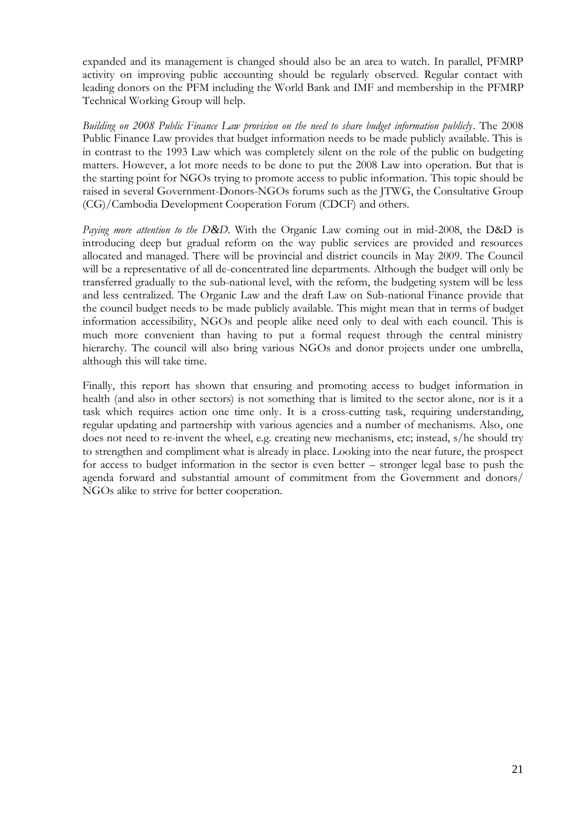expanded and its management is changed should also be an area to watch. In parallel, PFMRP activity on improving public accounting should be regularly observed. Regular contact with leading donors on the PFM including the World Bank and IMF and membership in the PFMRP Technical Working Group will help.

*Building on 2008 Public Finance Law provision on the need to share budget information publicly*. The 2008 Public Finance Law provides that budget information needs to be made publicly available. This is in contrast to the 1993 Law which was completely silent on the role of the public on budgeting matters. However, a lot more needs to be done to put the 2008 Law into operation. But that is the starting point for NGOs trying to promote access to public information. This topic should be raised in several Government-Donors-NGOs forums such as the JTWG, the Consultative Group (CG)/Cambodia Development Cooperation Forum (CDCF) and others.

*Paying more attention to the D&D*. With the Organic Law coming out in mid-2008, the D&D is introducing deep but gradual reform on the way public services are provided and resources allocated and managed. There will be provincial and district councils in May 2009. The Council will be a representative of all de-concentrated line departments. Although the budget will only be transferred gradually to the sub-national level, with the reform, the budgeting system will be less and less centralized. The Organic Law and the draft Law on Sub-national Finance provide that the council budget needs to be made publicly available. This might mean that in terms of budget information accessibility, NGOs and people alike need only to deal with each council. This is much more convenient than having to put a formal request through the central ministry hierarchy. The council will also bring various NGOs and donor projects under one umbrella, although this will take time.

Finally, this report has shown that ensuring and promoting access to budget information in health (and also in other sectors) is not something that is limited to the sector alone, nor is it a task which requires action one time only. It is a cross-cutting task, requiring understanding, regular updating and partnership with various agencies and a number of mechanisms. Also, one does not need to re-invent the wheel, e.g. creating new mechanisms, etc; instead, s/he should try to strengthen and compliment what is already in place. Looking into the near future, the prospect for access to budget information in the sector is even better – stronger legal base to push the agenda forward and substantial amount of commitment from the Government and donors/ NGOs alike to strive for better cooperation.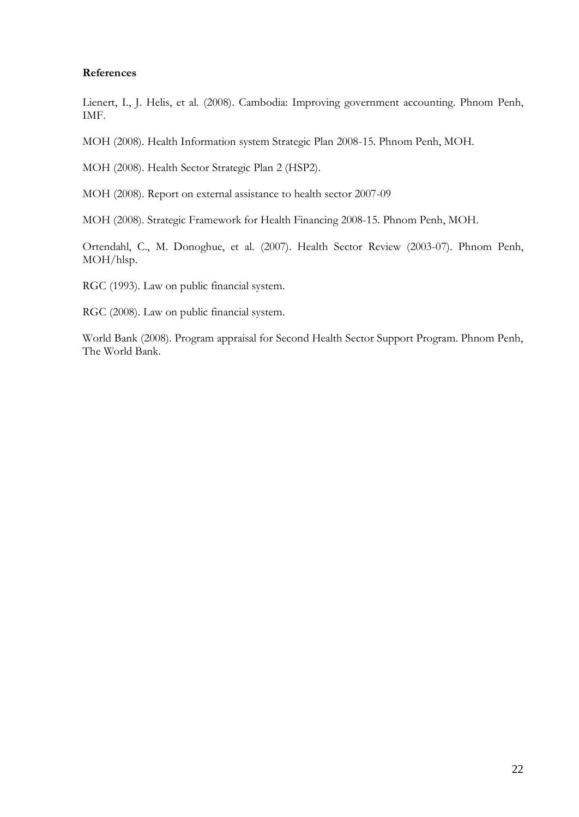#### <span id="page-30-0"></span>**References**

Lienert, I., J. Helis, et al. (2008). Cambodia: Improving government accounting. Phnom Penh, IMF.

MOH (2008). Health Information system Strategic Plan 2008-15. Phnom Penh, MOH.

MOH (2008). Health Sector Strategic Plan 2 (HSP2).

MOH (2008). Report on external assistance to health sector 2007-09

MOH (2008). Strategic Framework for Health Financing 2008-15. Phnom Penh, MOH.

Ortendahl, C., M. Donoghue, et al. (2007). Health Sector Review (2003-07). Phnom Penh, MOH/hlsp.

RGC (1993). Law on public financial system.

RGC (2008). Law on public financial system.

World Bank (2008). Program appraisal for Second Health Sector Support Program. Phnom Penh, The World Bank.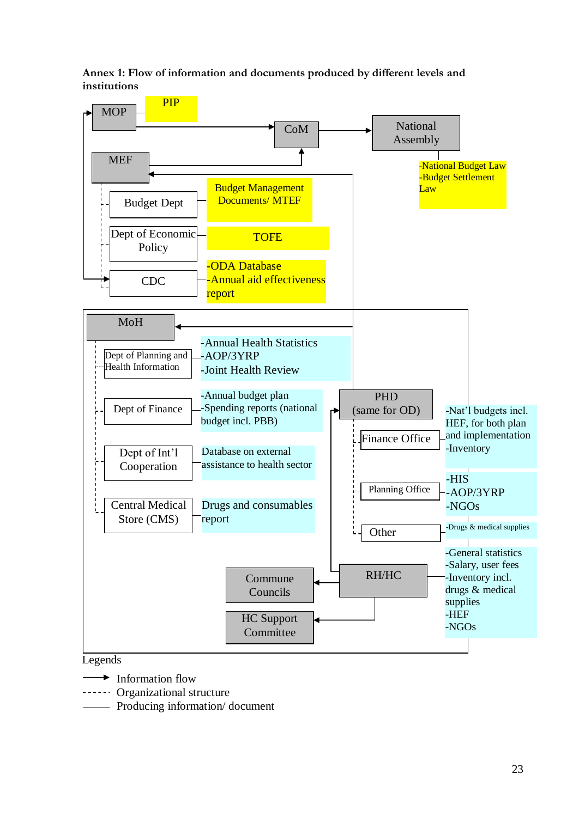<span id="page-31-0"></span>**Annex 1: Flow of information and documents produced by different levels and institutions** 



#### Legends

- Information flow
- Organizational structure
- Producing information/ document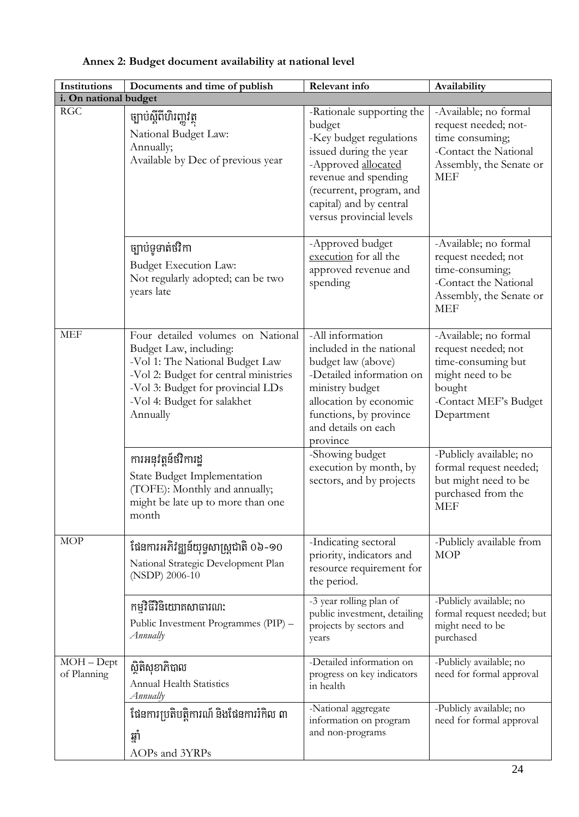| <b>Institutions</b>                    | Documents and time of publish                                                                                                                                                                                           | Relevant info                                                                                                                                                                                                              | Availability                                                                                                                            |  |  |
|----------------------------------------|-------------------------------------------------------------------------------------------------------------------------------------------------------------------------------------------------------------------------|----------------------------------------------------------------------------------------------------------------------------------------------------------------------------------------------------------------------------|-----------------------------------------------------------------------------------------------------------------------------------------|--|--|
| i. On national budget                  |                                                                                                                                                                                                                         |                                                                                                                                                                                                                            |                                                                                                                                         |  |  |
| <b>RGC</b>                             | ច្បាប់ស្តីពីហិរញ្ញវត្ថុ<br>National Budget Law:<br>Annually;<br>Available by Dec of previous year                                                                                                                       | -Rationale supporting the<br>budget<br>-Key budget regulations<br>issued during the year<br>-Approved allocated<br>revenue and spending<br>(recurrent, program, and<br>capital) and by central<br>versus provincial levels | -Available; no formal<br>request needed; not-<br>time consuming;<br>-Contact the National<br>Assembly, the Senate or<br><b>MEF</b>      |  |  |
|                                        | ច្បាប់ទូទាត់ថវិកា<br><b>Budget Execution Law:</b><br>Not regularly adopted; can be two<br>years late                                                                                                                    | -Approved budget<br>execution for all the<br>approved revenue and<br>spending                                                                                                                                              | -Available; no formal<br>request needed; not<br>time-consuming;<br>-Contact the National<br>Assembly, the Senate or<br><b>MEF</b>       |  |  |
| <b>MEF</b>                             | Four detailed volumes on National<br>Budget Law, including:<br>-Vol 1: The National Budget Law<br>-Vol 2: Budget for central ministries<br>-Vol 3: Budget for provincial LDs<br>-Vol 4: Budget for salakhet<br>Annually | -All information<br>included in the national<br>budget law (above)<br>-Detailed information on<br>ministry budget<br>allocation by economic<br>functions, by province<br>and details on each<br>province                   | -Available; no formal<br>request needed; not<br>time-consuming but<br>might need to be<br>bought<br>-Contact MEF's Budget<br>Department |  |  |
|                                        | ការអនុវត្តន៍ថវិការដ្ឋ<br>State Budget Implementation<br>(TOFE): Monthly and annually;<br>might be late up to more than one<br>month                                                                                     | -Showing budget<br>execution by month, by<br>sectors, and by projects                                                                                                                                                      | -Publicly available; no<br>formal request needed;<br>but might need to be<br>purchased from the<br><b>MEF</b>                           |  |  |
| <b>MOP</b>                             | ផែនការអភិវឌ្ឍន៍យុទ្ធសាស្ត្រជាតិ 0៦-90<br>National Strategic Development Plan<br>(NSDP) 2006-10                                                                                                                          | -Indicating sectoral<br>priority, indicators and<br>resource requirement for<br>the period.                                                                                                                                | -Publicly available from<br><b>MOP</b>                                                                                                  |  |  |
|                                        | កម្មវិធីវិនិយោគសាធារណ:<br>Public Investment Programmes (PIP) -<br>Annually                                                                                                                                              | -3 year rolling plan of<br>public investment, detailing<br>projects by sectors and<br>years                                                                                                                                | -Publicly available; no<br>formal request needed; but<br>might need to be<br>purchased                                                  |  |  |
| $\overline{MOH}$ – Dept<br>of Planning | ស្ថិតិសុខាភិបាល<br>Annual Health Statistics<br>Annually                                                                                                                                                                 | -Detailed information on<br>progress on key indicators<br>in health                                                                                                                                                        | -Publicly available; no<br>need for formal approval                                                                                     |  |  |
|                                        | ដែនការប្រតិបត្តិការណ៍ និងដែនការរំកិល ៣<br>ឆ្នាំ<br>AOPs and 3YRPs                                                                                                                                                       | -National aggregate<br>information on program<br>and non-programs                                                                                                                                                          | -Publicly available; no<br>need for formal approval                                                                                     |  |  |

## <span id="page-32-0"></span>**Annex 2: Budget document availability at national level**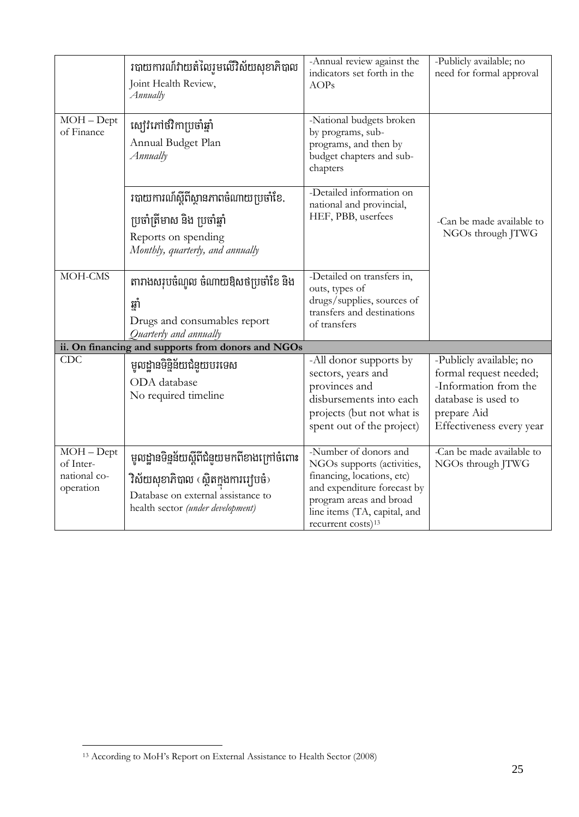|                                                        | របាយការណ៍វាយតំលៃរូមលើវិស័យសុខាភិបាល<br>Joint Health Review,<br>Annually                                                                                        | -Annual review against the<br>indicators set forth in the<br><b>AOPs</b>                                                                                                                                      | -Publicly available; no<br>need for formal approval                                                                                          |
|--------------------------------------------------------|----------------------------------------------------------------------------------------------------------------------------------------------------------------|---------------------------------------------------------------------------------------------------------------------------------------------------------------------------------------------------------------|----------------------------------------------------------------------------------------------------------------------------------------------|
| $MOH - Dept$<br>of Finance                             | ស្បៅវិភៅថវិកាប្រចាំឆ្នាំ<br>Annual Budget Plan<br>Annually                                                                                                     | -National budgets broken<br>by programs, sub-<br>programs, and then by<br>budget chapters and sub-<br>chapters                                                                                                |                                                                                                                                              |
|                                                        | របាយការណ៍ស្តីពីស្ថានភាពចំណាយប្រចាំខែ.<br>ប្រចាំត្រីមាស និង ប្រចាំឆ្នាំ<br>Reports on spending<br>Monthly, quarterly, and annually                              | -Detailed information on<br>national and provincial,<br>HEF, PBB, userfees                                                                                                                                    | -Can be made available to<br>NGOs through JTWG                                                                                               |
| MOH-CMS                                                | តារាងសរុបចំណូល ចំណាយឱសថប្រចាំខែ និង<br>ឆាំ<br>Drugs and consumables report<br>Quarterly and annually                                                           | -Detailed on transfers in,<br>outs, types of<br>drugs/supplies, sources of<br>transfers and destinations<br>of transfers                                                                                      |                                                                                                                                              |
|                                                        | ii. On financing and supports from donors and NGOs                                                                                                             |                                                                                                                                                                                                               |                                                                                                                                              |
| <b>CDC</b>                                             | មូលដ្ឋានទិន្និន័យជំនួយបរទេស<br>ODA database<br>No required timeline                                                                                            | -All donor supports by<br>sectors, years and<br>provinces and<br>disbursements into each<br>projects (but not what is<br>spent out of the project)                                                            | -Publicly available; no<br>formal request needed;<br>-Information from the<br>database is used to<br>prepare Aid<br>Effectiveness every year |
| $MOH - Dept$<br>of Inter-<br>national co-<br>operation | មូលដ្ឋានទិន្នន័យស្តីពីជំនួយមកពីខាងក្រៅចំពោះ<br>ិវិស័យសុខាភិបាល (ស្ថិតក្នុងការរៀបចំ)<br>Database on external assistance to<br>health sector (under development) | -Number of donors and<br>NGOs supports (activities,<br>financing, locations, etc)<br>and expenditure forecast by<br>program areas and broad<br>line items (TA, capital, and<br>recurrent costs) <sup>13</sup> | -Can be made available to<br>NGOs through JTWG                                                                                               |

 $\overline{a}$ 

<sup>&</sup>lt;sup>13</sup> According to MoH's Report on External Assistance to Health Sector (2008)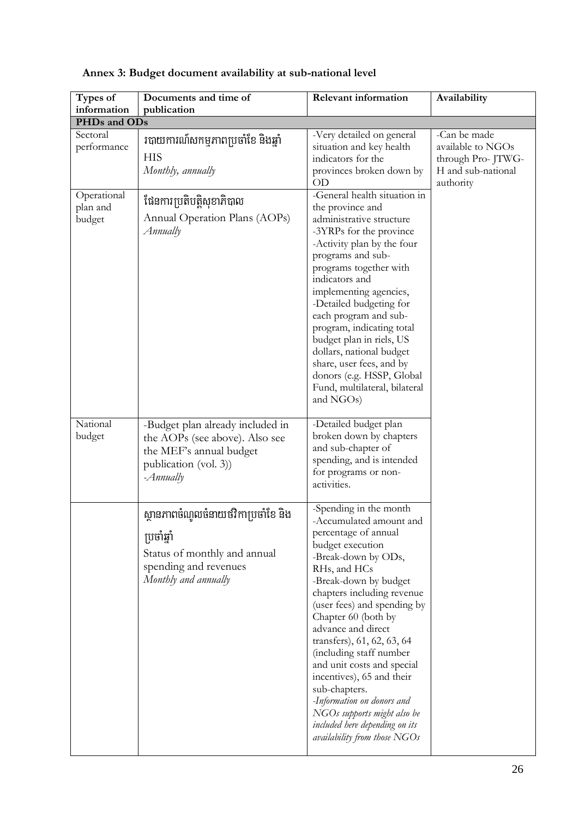| Types of                                   | Documents and time of                                                                                                                         | <b>Relevant information</b>                                                                                                                                                                                                                                                                                                                                                                                                                                                                                                                          | Availability                                                                              |  |  |
|--------------------------------------------|-----------------------------------------------------------------------------------------------------------------------------------------------|------------------------------------------------------------------------------------------------------------------------------------------------------------------------------------------------------------------------------------------------------------------------------------------------------------------------------------------------------------------------------------------------------------------------------------------------------------------------------------------------------------------------------------------------------|-------------------------------------------------------------------------------------------|--|--|
| information<br>publication<br>PHDs and ODs |                                                                                                                                               |                                                                                                                                                                                                                                                                                                                                                                                                                                                                                                                                                      |                                                                                           |  |  |
| Sectoral<br>performance                    | របាយការណ៍សកម្មភាពប្រចាំខែ និងឆ្នាំ<br><b>HIS</b><br>Monthly, annually                                                                         | -Very detailed on general<br>situation and key health<br>indicators for the<br>provinces broken down by<br>OD                                                                                                                                                                                                                                                                                                                                                                                                                                        | -Can be made<br>available to NGOs<br>through Pro-JTWG-<br>H and sub-national<br>authority |  |  |
| Operational<br>plan and<br>budget          | ដែនការប្រតិបត្តិសុខាភិបាល<br>Annual Operation Plans (AOPs)<br>Annually                                                                        | -General health situation in<br>the province and<br>administrative structure<br>-3YRPs for the province<br>-Activity plan by the four<br>programs and sub-<br>programs together with<br>indicators and<br>implementing agencies,<br>-Detailed budgeting for<br>each program and sub-<br>program, indicating total<br>budget plan in riels, US<br>dollars, national budget<br>share, user fees, and by<br>donors (e.g. HSSP, Global<br>Fund, multilateral, bilateral<br>and NGOs)                                                                     |                                                                                           |  |  |
| National<br>budget                         | -Budget plan already included in<br>the AOPs (see above). Also see<br>the MEF's annual budget<br>publication (vol. 3))<br>$-A$ <i>nnually</i> | -Detailed budget plan<br>broken down by chapters<br>and sub-chapter of<br>spending, and is intended<br>for programs or non-<br>activities.                                                                                                                                                                                                                                                                                                                                                                                                           |                                                                                           |  |  |
|                                            | ស្ថានភាពចំណូលចំនាយថវិកាប្រចាំខែ និង<br>ប្រចាំឆ្នាំ<br>Status of monthly and annual<br>spending and revenues<br>Monthly and annually           | -Spending in the month<br>-Accumulated amount and<br>percentage of annual<br>budget execution<br>-Break-down by ODs,<br>RHs, and HCs<br>-Break-down by budget<br>chapters including revenue<br>(user fees) and spending by<br>Chapter 60 (both by<br>advance and direct<br>transfers), 61, 62, 63, 64<br>(including staff number<br>and unit costs and special<br>incentives), 65 and their<br>sub-chapters.<br>-Information on donors and<br>NGOs supports might also be<br>included here depending on its<br><i>availability from those</i> $NGOs$ |                                                                                           |  |  |

## <span id="page-34-0"></span>**Annex 3: Budget document availability at sub-national level**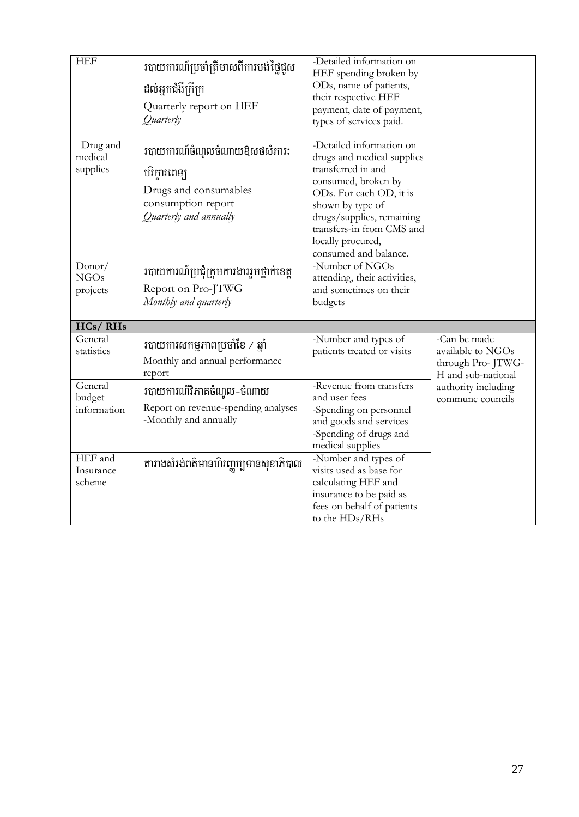| <b>HEF</b>                        | របាយការណ៍ប្រចាំត្រីមាសពីការបង់ថ្លៃជួស<br>ដល់អ្នកជំងឺក្រីក្រ<br>Quarterly report on HEF<br>Quarterly                    | -Detailed information on<br>HEF spending broken by<br>ODs, name of patients,<br>their respective HEF<br>payment, date of payment,<br>types of services paid.                                                                                               |                                                                              |
|-----------------------------------|------------------------------------------------------------------------------------------------------------------------|------------------------------------------------------------------------------------------------------------------------------------------------------------------------------------------------------------------------------------------------------------|------------------------------------------------------------------------------|
| Drug and<br>medical<br>supplies   | របាយការណ៏ចំណូលចំណាយឱសថសំភារ:<br>បរិក្ខារពេទ្យ<br>Drugs and consumables<br>consumption report<br>Quarterly and annually | -Detailed information on<br>drugs and medical supplies<br>transferred in and<br>consumed, broken by<br>ODs. For each OD, it is<br>shown by type of<br>drugs/supplies, remaining<br>transfers-in from CMS and<br>locally procured,<br>consumed and balance. |                                                                              |
| Donor/<br><b>NGOs</b><br>projects | របាយការណ៍ប្រជុំក្រុមការងាររួមថ្នាក់ខេត្ត<br>Report on Pro-JTWG<br>Monthly and quarterly                                | -Number of NGOs<br>attending, their activities,<br>and sometimes on their<br>budgets                                                                                                                                                                       |                                                                              |
| HCs/RHs                           |                                                                                                                        |                                                                                                                                                                                                                                                            |                                                                              |
| General<br>statistics             | របាយការសកម្មភាពប្រចាំខែ / ឆ្នាំ<br>Monthly and annual performance<br>report                                            | -Number and types of<br>patients treated or visits                                                                                                                                                                                                         | -Can be made<br>available to NGOs<br>through Pro-JTWG-<br>H and sub-national |
| General<br>budget<br>information  | របាយការណ៏វិភាគចំណូល-ចំណាយ<br>Report on revenue-spending analyses<br>-Monthly and annually                              | -Revenue from transfers<br>and user fees<br>-Spending on personnel<br>and goods and services<br>-Spending of drugs and<br>medical supplies                                                                                                                 | authority including<br>commune councils                                      |
| HEF and<br>Insurance<br>scheme    | តារាងសំរង់ពត៌មានហិរញ្ញប្បទានសុខាភិបាល                                                                                  | -Number and types of<br>visits used as base for<br>calculating HEF and<br>insurance to be paid as<br>fees on behalf of patients<br>to the HDs/RHs                                                                                                          |                                                                              |